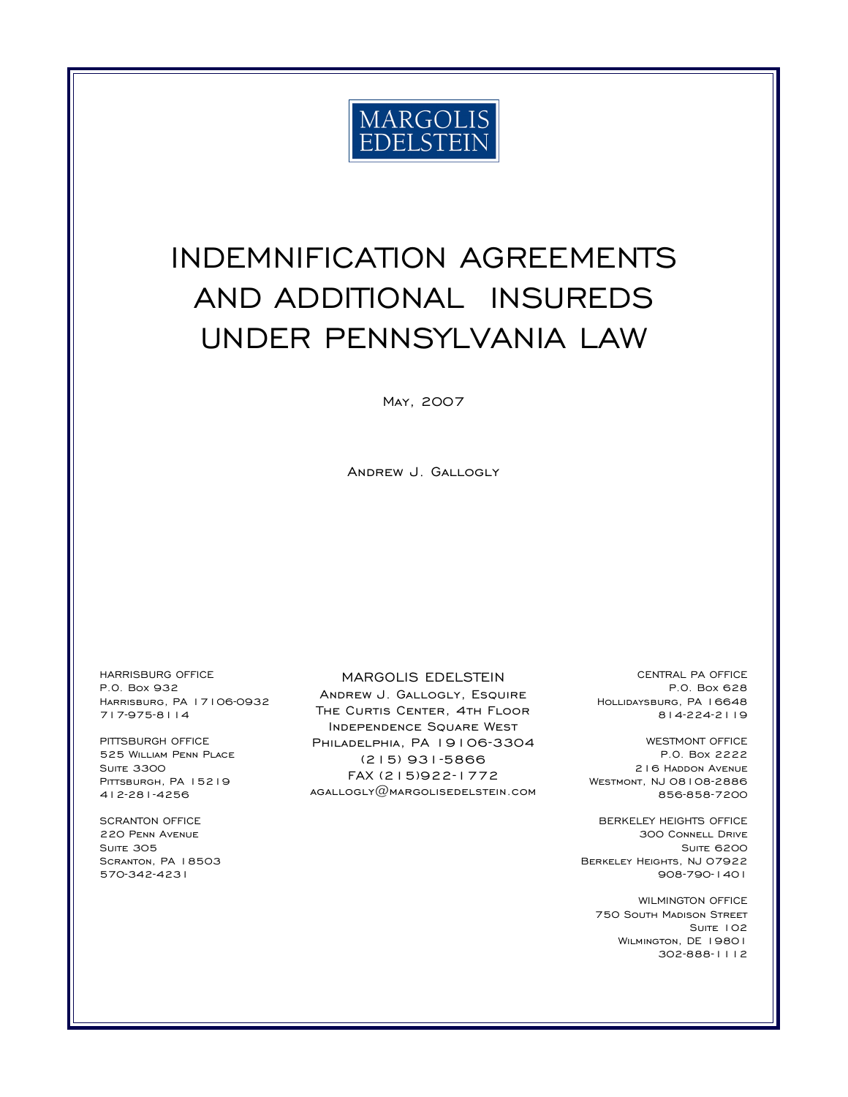

# INDEMNIFICATION AGREEMENTS AND ADDITIONAL INSUREDS UNDER PENNSYLVANIA LAW

May, 2007

Andrew J. Gallogly

HARRISBURG OFFICE P.O. Box 932 Harrisburg, PA 17106-0932 717-975-8114

PITTSBURGH OFFICE 525 William Penn Place **SUITE 3300** PITTSBURGH, PA 15219 412-281-4256

SCRANTON OFFICE 220 Penn Avenue SUITE 305 Scranton, PA 18503 570-342-4231

#### MARGOLIS EDELSTEIN

Andrew J. Gallogly, Esquire THE CURTIS CENTER, 4TH FLOOR Independence Square West PHILADELPHIA, PA 19106-3304 (215) 931-5866 FAX (215)922-1772 agallogly@margolisedelstein.com

CENTRAL PA OFFICE P.O. Box 628 Hollidaysburg, PA 16648 814-224-2119

WESTMONT OFFICE P.O. Box 2222 216 Haddon Avenue Westmont, NJ 08108-2886 856-858-7200

BERKELEY HEIGHTS OFFICE 300 Connell Drive **SUITE 6200** Berkeley Heights, NJ 07922 908-790-1401

WILMINGTON OFFICE 750 South Madison Street SUITE 102 WILMINGTON, DE 19801 302-888-1112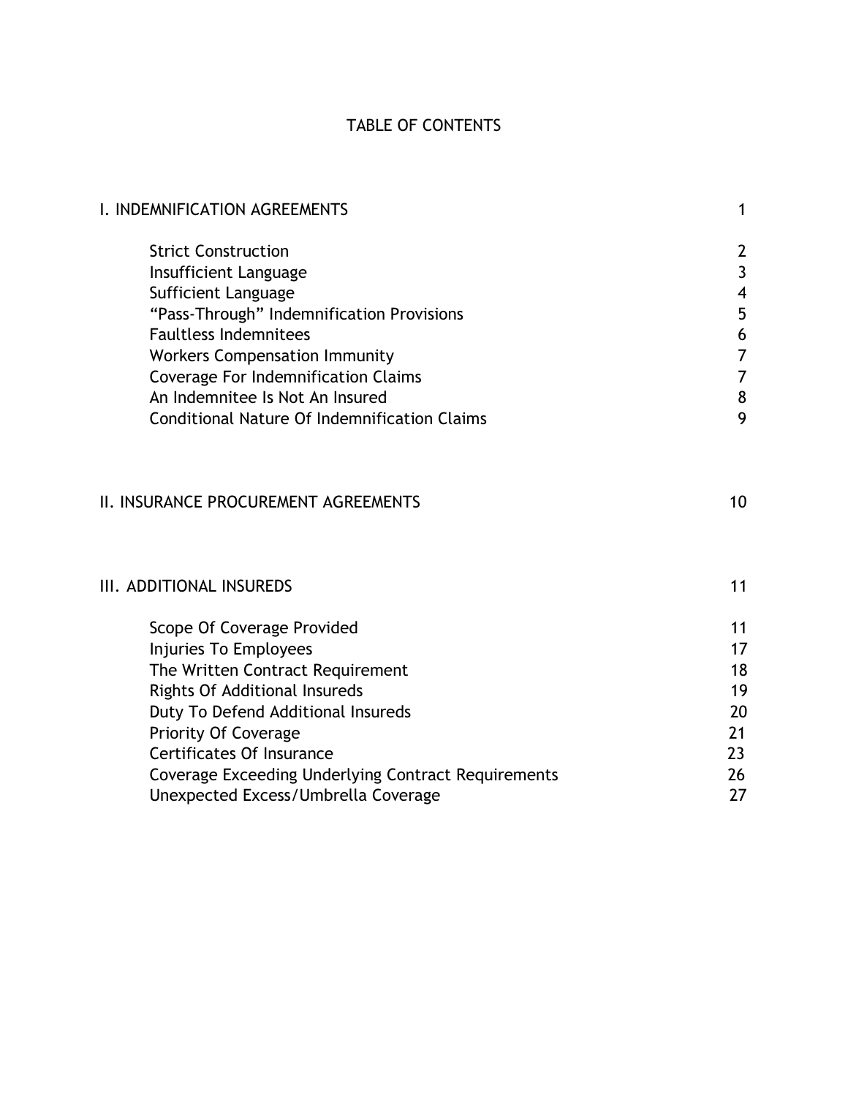## TABLE OF CONTENTS

| I. INDEMNIFICATION AGREEMENTS                              | 1                        |
|------------------------------------------------------------|--------------------------|
| <b>Strict Construction</b>                                 | 2                        |
| Insufficient Language                                      | $\mathbf{3}$             |
| Sufficient Language                                        | $\overline{\mathcal{A}}$ |
| "Pass-Through" Indemnification Provisions                  | 5                        |
| <b>Faultless Indemnitees</b>                               | $\boldsymbol{6}$         |
| <b>Workers Compensation Immunity</b>                       | $\overline{7}$           |
| <b>Coverage For Indemnification Claims</b>                 | $\overline{7}$           |
| An Indemnitee Is Not An Insured                            | $\bf 8$                  |
| <b>Conditional Nature Of Indemnification Claims</b>        | 9                        |
| <b>II. INSURANCE PROCUREMENT AGREEMENTS</b>                | 10                       |
| III. ADDITIONAL INSUREDS                                   | 11                       |
| Scope Of Coverage Provided                                 | 11                       |
| Injuries To Employees                                      | 17                       |
| The Written Contract Requirement                           | 18                       |
| <b>Rights Of Additional Insureds</b>                       | 19                       |
| Duty To Defend Additional Insureds                         | 20                       |
| <b>Priority Of Coverage</b>                                | 21                       |
| <b>Certificates Of Insurance</b>                           | 23                       |
| <b>Coverage Exceeding Underlying Contract Requirements</b> | 26                       |
| Unexpected Excess/Umbrella Coverage                        | 27                       |
|                                                            |                          |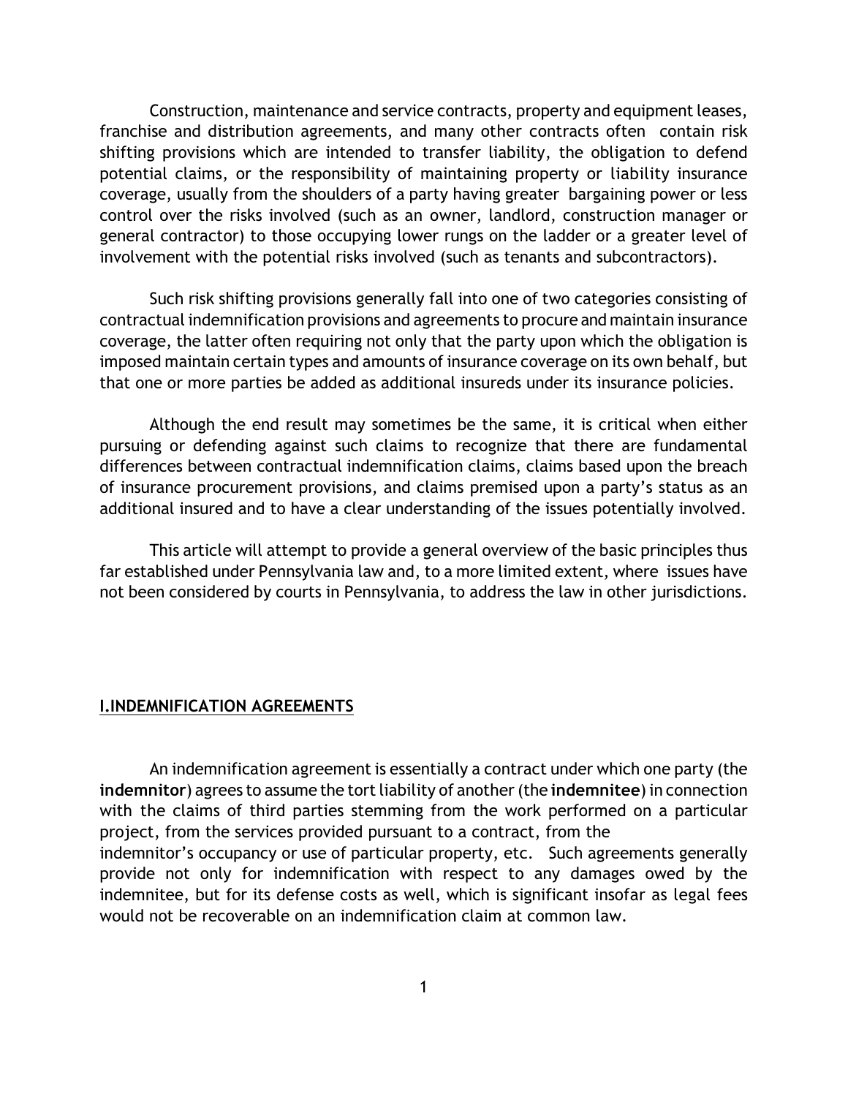Construction, maintenance and service contracts, property and equipment leases, franchise and distribution agreements, and many other contracts often contain risk shifting provisions which are intended to transfer liability, the obligation to defend potential claims, or the responsibility of maintaining property or liability insurance coverage, usually from the shoulders of a party having greater bargaining power or less control over the risks involved (such as an owner, landlord, construction manager or general contractor) to those occupying lower rungs on the ladder or a greater level of involvement with the potential risks involved (such as tenants and subcontractors).

Such risk shifting provisions generally fall into one of two categories consisting of contractual indemnification provisions and agreements to procure and maintain insurance coverage, the latter often requiring not only that the party upon which the obligation is imposed maintain certain types and amounts of insurance coverage on its own behalf, but that one or more parties be added as additional insureds under its insurance policies.

Although the end result may sometimes be the same, it is critical when either pursuing or defending against such claims to recognize that there are fundamental differences between contractual indemnification claims, claims based upon the breach of insurance procurement provisions, and claims premised upon a party's status as an additional insured and to have a clear understanding of the issues potentially involved.

This article will attempt to provide a general overview of the basic principles thus far established under Pennsylvania law and, to a more limited extent, where issues have not been considered by courts in Pennsylvania, to address the law in other jurisdictions.

#### **I.INDEMNIFICATION AGREEMENTS**

An indemnification agreement is essentially a contract under which one party (the **indemnitor**) agrees to assume the tort liability of another (the **indemnitee**) in connection with the claims of third parties stemming from the work performed on a particular project, from the services provided pursuant to a contract, from the indemnitor's occupancy or use of particular property, etc. Such agreements generally provide not only for indemnification with respect to any damages owed by the indemnitee, but for its defense costs as well, which is significant insofar as legal fees would not be recoverable on an indemnification claim at common law.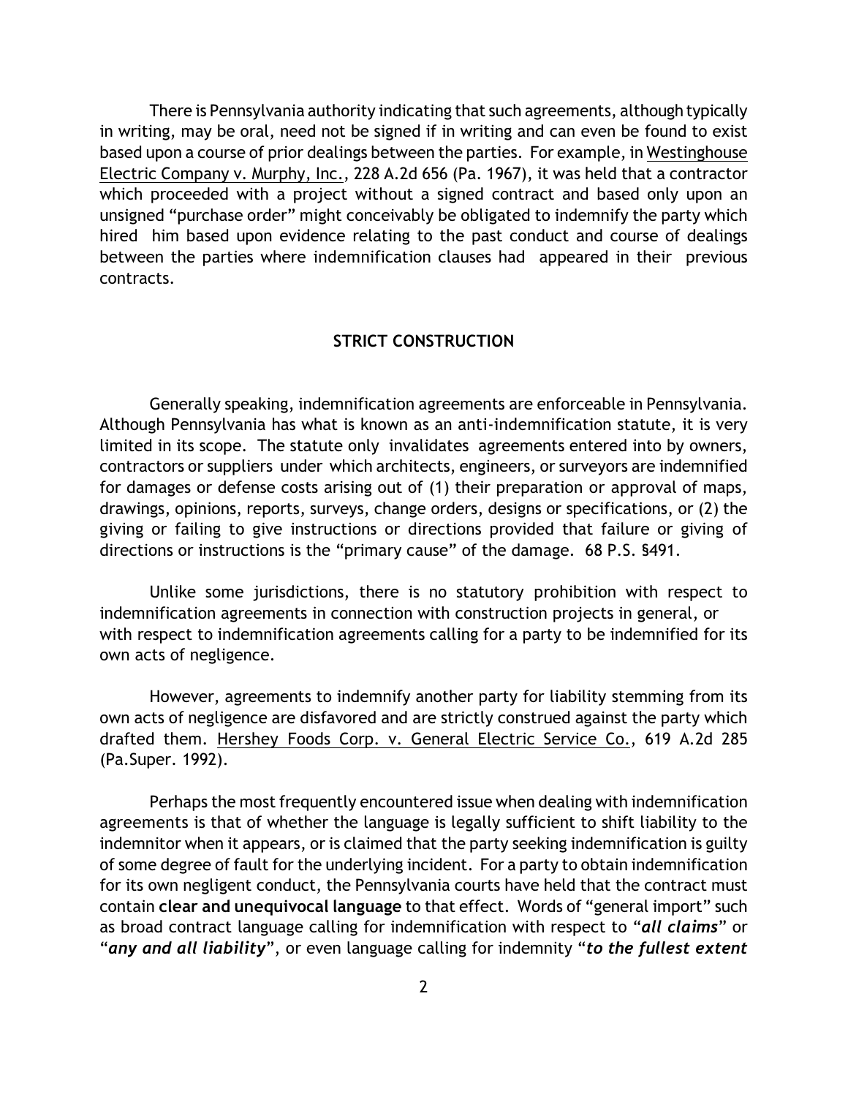There is Pennsylvania authority indicating that such agreements, although typically in writing, may be oral, need not be signed if in writing and can even be found to exist based upon a course of prior dealings between the parties. For example, in Westinghouse Electric Company v. Murphy, Inc., 228 A.2d 656 (Pa. 1967), it was held that a contractor which proceeded with a project without a signed contract and based only upon an unsigned "purchase order" might conceivably be obligated to indemnify the party which hired him based upon evidence relating to the past conduct and course of dealings between the parties where indemnification clauses had appeared in their previous contracts.

#### **STRICT CONSTRUCTION**

Generally speaking, indemnification agreements are enforceable in Pennsylvania. Although Pennsylvania has what is known as an anti-indemnification statute, it is very limited in its scope. The statute only invalidates agreements entered into by owners, contractors or suppliers under which architects, engineers, or surveyors are indemnified for damages or defense costs arising out of (1) their preparation or approval of maps, drawings, opinions, reports, surveys, change orders, designs or specifications, or (2) the giving or failing to give instructions or directions provided that failure or giving of directions or instructions is the "primary cause" of the damage. 68 P.S. §491.

Unlike some jurisdictions, there is no statutory prohibition with respect to indemnification agreements in connection with construction projects in general, or with respect to indemnification agreements calling for a party to be indemnified for its own acts of negligence.

However, agreements to indemnify another party for liability stemming from its own acts of negligence are disfavored and are strictly construed against the party which drafted them. Hershey Foods Corp. v. General Electric Service Co., 619 A.2d 285 (Pa.Super. 1992).

Perhaps the most frequently encountered issue when dealing with indemnification agreements is that of whether the language is legally sufficient to shift liability to the indemnitor when it appears, or is claimed that the party seeking indemnification is guilty of some degree of fault for the underlying incident. For a party to obtain indemnification for its own negligent conduct, the Pennsylvania courts have held that the contract must contain **clear and unequivocal language** to that effect. Words of "general import" such as broad contract language calling for indemnification with respect to "*all claims*" or "*any and all liability*", or even language calling for indemnity "*to the fullest extent*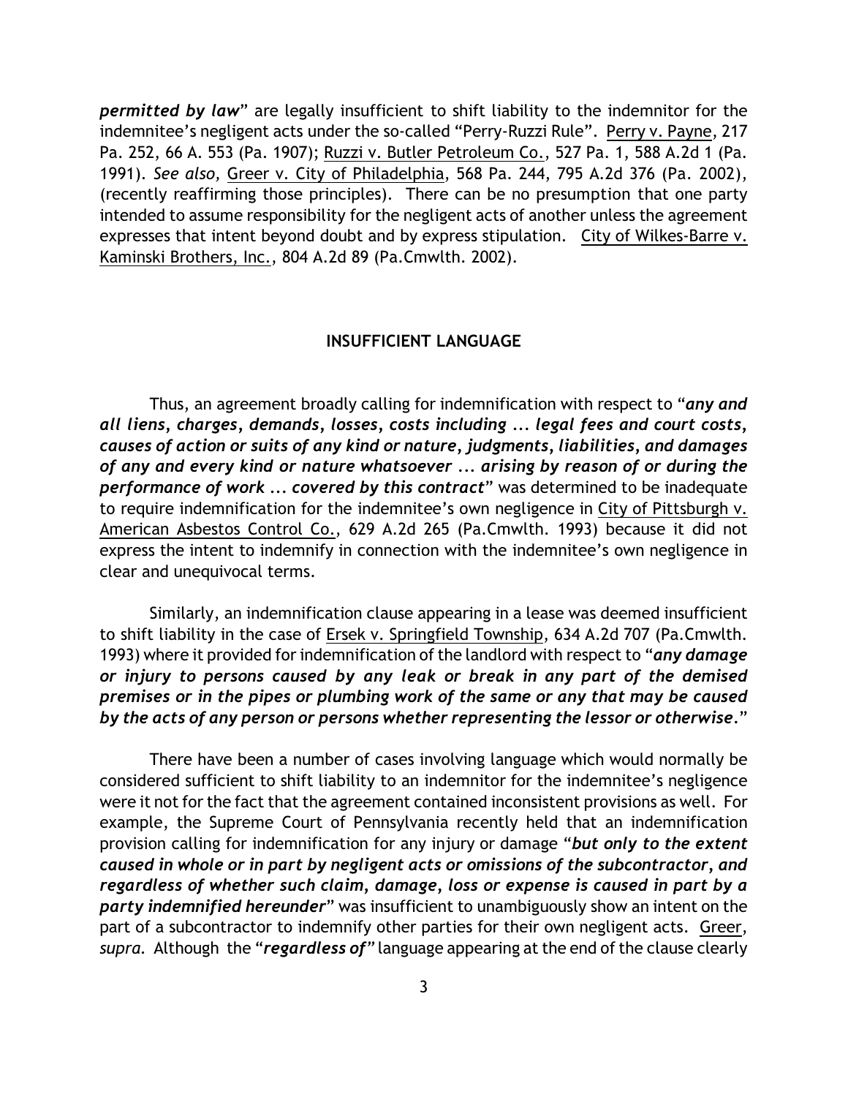*permitted by law*" are legally insufficient to shift liability to the indemnitor for the indemnitee's negligent acts under the so-called "Perry-Ruzzi Rule". Perry v. Payne, 217 Pa. 252, 66 A. 553 (Pa. 1907); Ruzzi v. Butler Petroleum Co., 527 Pa. 1, 588 A.2d 1 (Pa. 1991). *See also,* Greer v. City of Philadelphia, 568 Pa. 244, 795 A.2d 376 (Pa. 2002), (recently reaffirming those principles). There can be no presumption that one party intended to assume responsibility for the negligent acts of another unless the agreement expresses that intent beyond doubt and by express stipulation. City of Wilkes-Barre v. Kaminski Brothers, Inc., 804 A.2d 89 (Pa.Cmwlth. 2002).

## **INSUFFICIENT LANGUAGE**

Thus, an agreement broadly calling for indemnification with respect to "*any and all liens, charges, demands, losses, costs including ... legal fees and court costs, causes of action or suits of any kind or nature, judgments, liabilities, and damages of any and every kind or nature whatsoever ... arising by reason of or during the performance of work ... covered by this contract*" was determined to be inadequate to require indemnification for the indemnitee's own negligence in City of Pittsburgh v. American Asbestos Control Co., 629 A.2d 265 (Pa.Cmwlth. 1993) because it did not express the intent to indemnify in connection with the indemnitee's own negligence in clear and unequivocal terms.

Similarly, an indemnification clause appearing in a lease was deemed insufficient to shift liability in the case of Ersek v. Springfield Township, 634 A.2d 707 (Pa.Cmwlth. 1993) where it provided forindemnification ofthe landlord with respect to "*any damage or injury to persons caused by any leak or break in any part of the demised premises or in the pipes or plumbing work of the same or any that may be caused by the acts of any person or persons whether representing the lessor or otherwise.*"

There have been a number of cases involving language which would normally be considered sufficient to shift liability to an indemnitor for the indemnitee's negligence were it not for the fact that the agreement contained inconsistent provisions as well. For example, the Supreme Court of Pennsylvania recently held that an indemnification provision calling for indemnification for any injury or damage "*but only to the extent caused in whole or in part by negligent acts or omissions of the subcontractor, and regardless of whether such claim, damage, loss or expense is caused in part by a party indemnified hereunder*" was insufficient to unambiguously show an intent on the part of a subcontractor to indemnify other parties for their own negligent acts. Greer, *supra.* Although the "*regardless of*" language appearing at the end of the clause clearly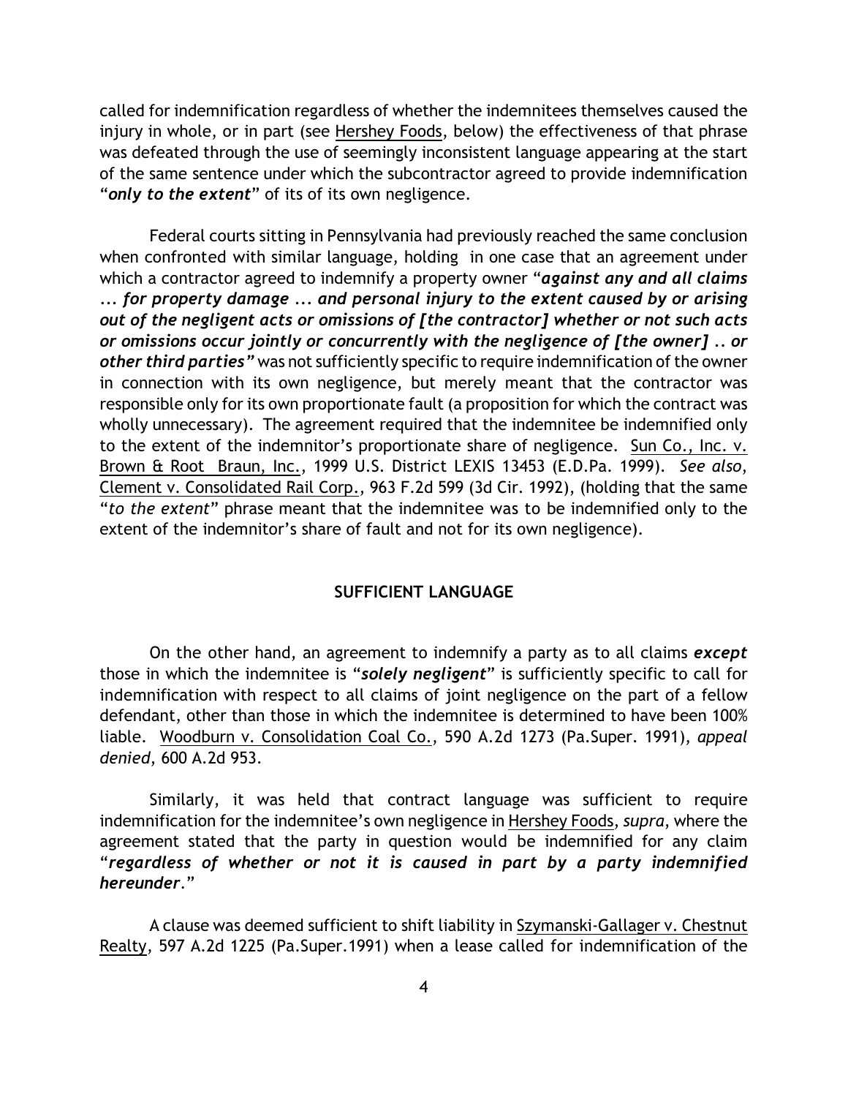called for indemnification regardless of whether the indemnitees themselves caused the injury in whole, or in part (see Hershey Foods, below) the effectiveness of that phrase was defeated through the use of seemingly inconsistent language appearing at the start of the same sentence under which the subcontractor agreed to provide indemnification "*only to the extent*" of its of its own negligence.

Federal courts sitting in Pennsylvania had previously reached the same conclusion when confronted with similar language, holding in one case that an agreement under which a contractor agreed to indemnify a property owner "*against any and all claims ... for property damage ... and personal injury to the extent caused by or arising out of the negligent acts or omissions of [the contractor] whether or not such acts or omissions occur jointly or concurrently with the negligence of [the owner] .. or other third parties"* was not sufficiently specific to require indemnification of the owner in connection with its own negligence, but merely meant that the contractor was responsible only for its own proportionate fault (a proposition for which the contract was wholly unnecessary). The agreement required that the indemnitee be indemnified only to the extent of the indemnitor's proportionate share of negligence. Sun Co., Inc. v. Brown & Root Braun, Inc., 1999 U.S. District LEXIS 13453 (E.D.Pa. 1999). *See also*, Clement v. Consolidated Rail Corp., 963 F.2d 599 (3d Cir. 1992), (holding that the same "*to the extent*" phrase meant that the indemnitee was to be indemnified only to the extent of the indemnitor's share of fault and not for its own negligence).

## **SUFFICIENT LANGUAGE**

On the other hand, an agreement to indemnify a party as to all claims *except* those in which the indemnitee is "*solely negligent*" is sufficiently specific to call for indemnification with respect to all claims of joint negligence on the part of a fellow defendant, other than those in which the indemnitee is determined to have been 100% liable. Woodburn v. Consolidation Coal Co., 590 A.2d 1273 (Pa.Super. 1991), *appeal denied*, 600 A.2d 953.

Similarly, it was held that contract language was sufficient to require indemnification for the indemnitee's own negligence in Hershey Foods, *supra*, where the agreement stated that the party in question would be indemnified for any claim "*regardless of whether or not it is caused in part by a party indemnified hereunder*."

A clause was deemed sufficient to shift liability in Szymanski-Gallager v. Chestnut Realty, 597 A.2d 1225 (Pa.Super.1991) when a lease called for indemnification of the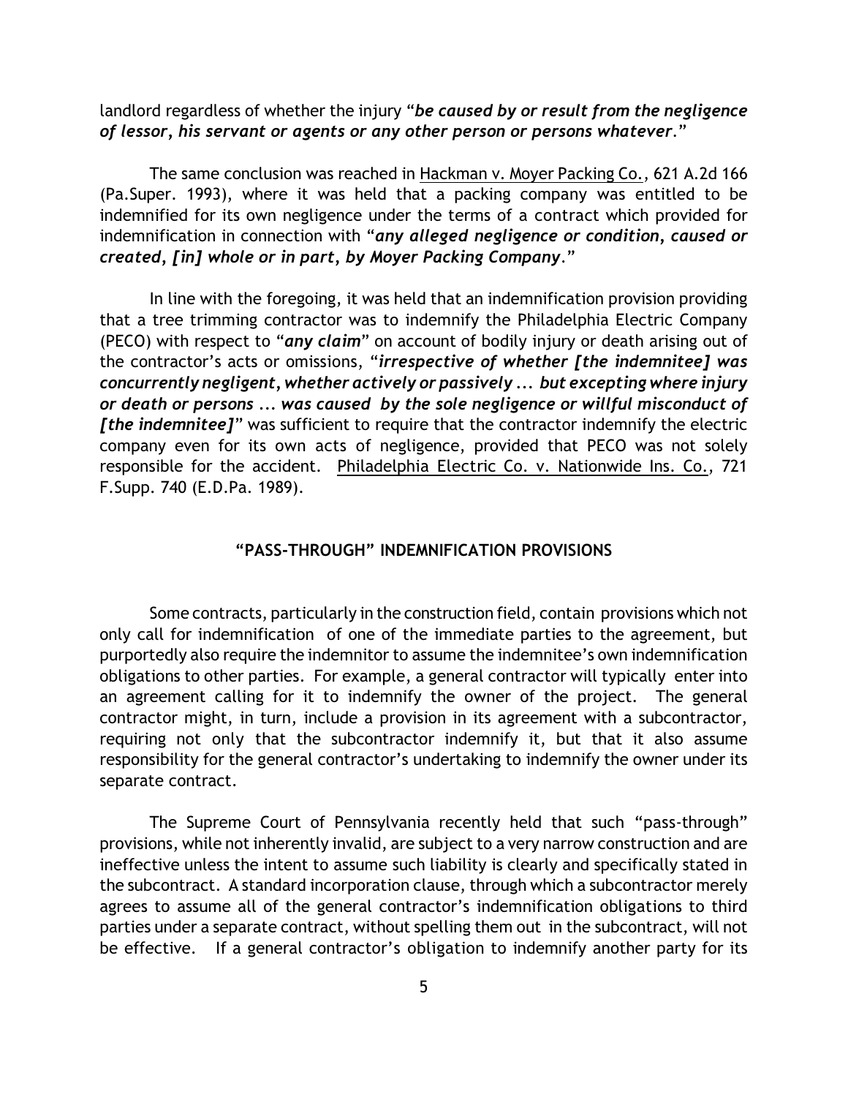landlord regardless of whether the injury "*be caused by or result from the negligence of lessor, his servant or agents or any other person or persons whatever*."

The same conclusion was reached in Hackman v. Moyer Packing Co., 621 A.2d 166 (Pa.Super. 1993), where it was held that a packing company was entitled to be indemnified for its own negligence under the terms of a contract which provided for indemnification in connection with "*any alleged negligence or condition, caused or created, [in] whole or in part, by Moyer Packing Company*."

In line with the foregoing, it was held that an indemnification provision providing that a tree trimming contractor was to indemnify the Philadelphia Electric Company (PECO) with respect to "*any claim*" on account of bodily injury or death arising out of the contractor's acts or omissions, "*irrespective of whether [the indemnitee] was concurrently negligent, whether actively or passively ... but excepting where injury or death or persons ... was caused by the sole negligence or willful misconduct of [the indemnitee]*" was sufficient to require that the contractor indemnify the electric company even for its own acts of negligence, provided that PECO was not solely responsible for the accident. Philadelphia Electric Co. v. Nationwide Ins. Co., 721 F.Supp. 740 (E.D.Pa. 1989).

## **"PASS-THROUGH" INDEMNIFICATION PROVISIONS**

Some contracts, particularly in the construction field, contain provisions which not only call for indemnification of one of the immediate parties to the agreement, but purportedly also require the indemnitor to assume the indemnitee's own indemnification obligations to other parties. For example, a general contractor will typically enter into an agreement calling for it to indemnify the owner of the project. The general contractor might, in turn, include a provision in its agreement with a subcontractor, requiring not only that the subcontractor indemnify it, but that it also assume responsibility for the general contractor's undertaking to indemnify the owner under its separate contract.

The Supreme Court of Pennsylvania recently held that such "pass-through" provisions, while not inherently invalid, are subject to a very narrow construction and are ineffective unless the intent to assume such liability is clearly and specifically stated in the subcontract. A standard incorporation clause, through which a subcontractor merely agrees to assume all of the general contractor's indemnification obligations to third parties under a separate contract, without spelling them out in the subcontract, will not be effective. If a general contractor's obligation to indemnify another party for its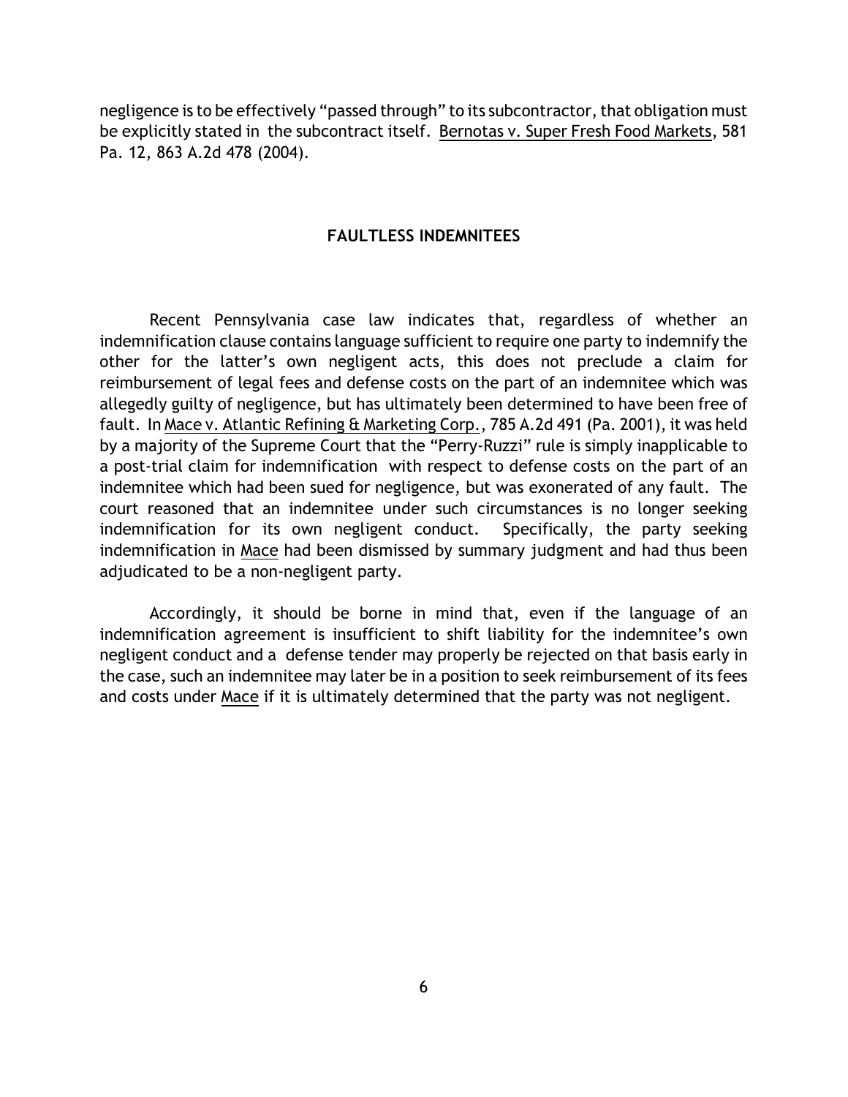negligence is to be effectively "passed through" to its subcontractor, that obligation must be explicitly stated in the subcontract itself. Bernotas v. Super Fresh Food Markets, 581 Pa. 12, 863 A.2d 478 (2004).

## **FAULTLESS INDEMNITEES**

Recent Pennsylvania case law indicates that, regardless of whether an indemnification clause contains language sufficient to require one party to indemnify the other for the latter's own negligent acts, this does not preclude a claim for reimbursement of legal fees and defense costs on the part of an indemnitee which was allegedly guilty of negligence, but has ultimately been determined to have been free of fault. In Mace v. Atlantic Refining & Marketing Corp., 785 A.2d 491 (Pa. 2001), it was held by a majority of the Supreme Court that the "Perry-Ruzzi" rule is simply inapplicable to a post-trial claim for indemnification with respect to defense costs on the part of an indemnitee which had been sued for negligence, but was exonerated of any fault. The court reasoned that an indemnitee under such circumstances is no longer seeking indemnification for its own negligent conduct. Specifically, the party seeking indemnification in Mace had been dismissed by summary judgment and had thus been adjudicated to be a non-negligent party.

Accordingly, it should be borne in mind that, even if the language of an indemnification agreement is insufficient to shift liability for the indemnitee's own negligent conduct and a defense tender may properly be rejected on that basis early in the case, such an indemnitee may later be in a position to seek reimbursement of its fees and costs under Mace if it is ultimately determined that the party was not negligent.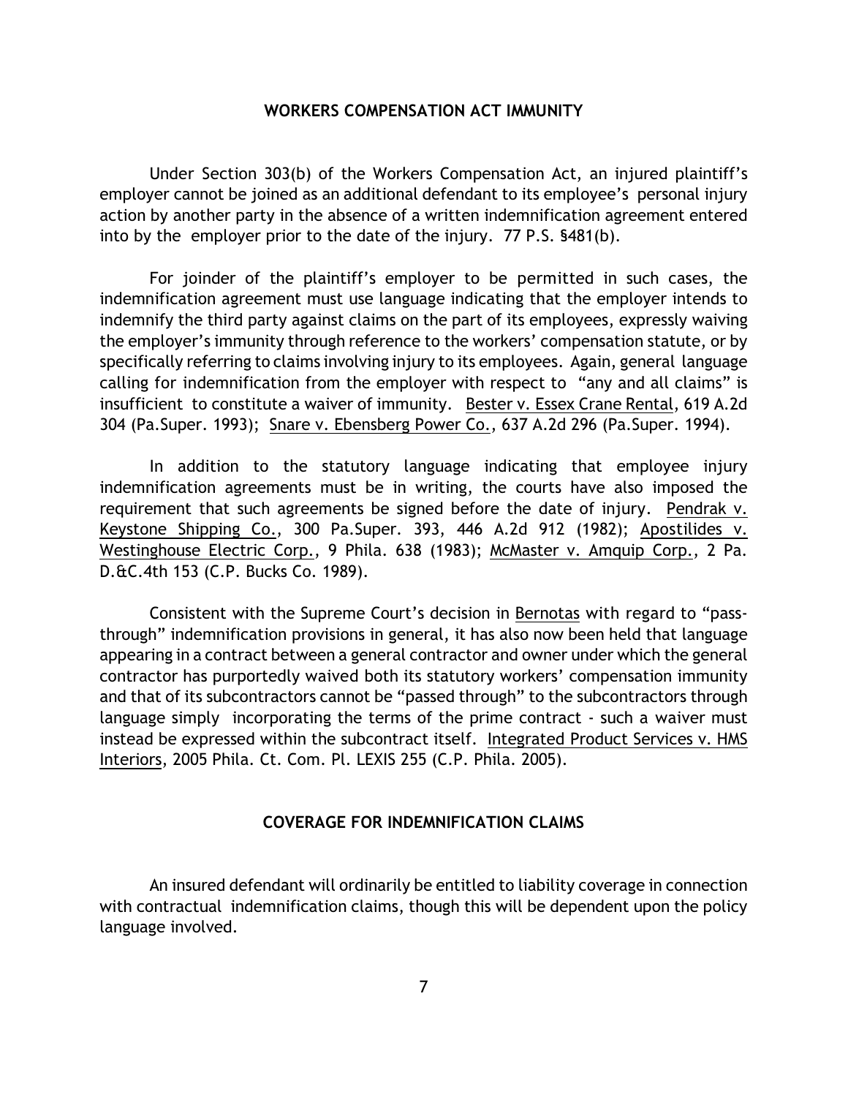#### **WORKERS COMPENSATION ACT IMMUNITY**

Under Section 303(b) of the Workers Compensation Act, an injured plaintiff's employer cannot be joined as an additional defendant to its employee's personal injury action by another party in the absence of a written indemnification agreement entered into by the employer prior to the date of the injury. 77 P.S. §481(b).

For joinder of the plaintiff's employer to be permitted in such cases, the indemnification agreement must use language indicating that the employer intends to indemnify the third party against claims on the part of its employees, expressly waiving the employer's immunity through reference to the workers' compensation statute, or by specifically referring to claims involving injury to its employees. Again, general language calling for indemnification from the employer with respect to "any and all claims" is insufficient to constitute a waiver of immunity. Bester v. Essex Crane Rental, 619 A.2d 304 (Pa.Super. 1993); Snare v. Ebensberg Power Co., 637 A.2d 296 (Pa.Super. 1994).

In addition to the statutory language indicating that employee injury indemnification agreements must be in writing, the courts have also imposed the requirement that such agreements be signed before the date of injury. Pendrak v. Keystone Shipping Co., 300 Pa.Super. 393, 446 A.2d 912 (1982); Apostilides v. Westinghouse Electric Corp., 9 Phila. 638 (1983); McMaster v. Amquip Corp., 2 Pa. D.&C.4th 153 (C.P. Bucks Co. 1989).

Consistent with the Supreme Court's decision in Bernotas with regard to "passthrough" indemnification provisions in general, it has also now been held that language appearing in a contract between a general contractor and owner under which the general contractor has purportedly waived both its statutory workers' compensation immunity and that of its subcontractors cannot be "passed through" to the subcontractors through language simply incorporating the terms of the prime contract - such a waiver must instead be expressed within the subcontract itself. Integrated Product Services v. HMS Interiors, 2005 Phila. Ct. Com. Pl. LEXIS 255 (C.P. Phila. 2005).

## **COVERAGE FOR INDEMNIFICATION CLAIMS**

An insured defendant will ordinarily be entitled to liability coverage in connection with contractual indemnification claims, though this will be dependent upon the policy language involved.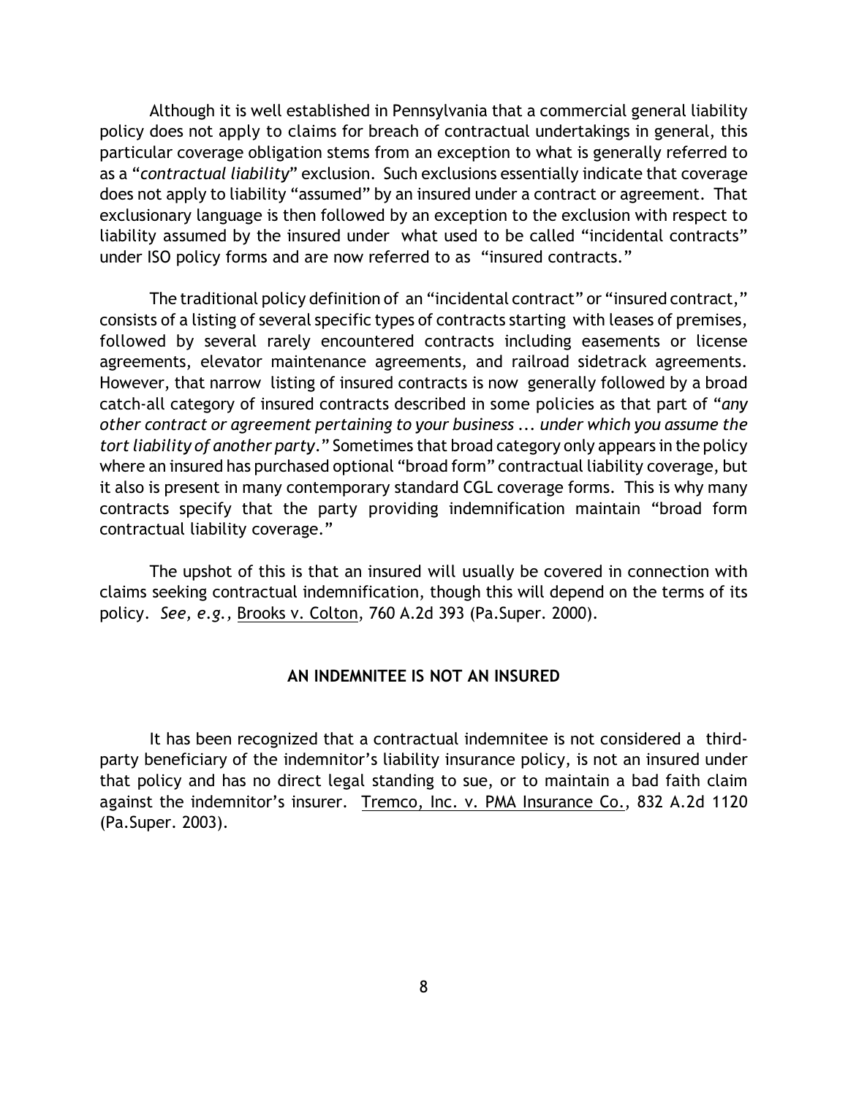Although it is well established in Pennsylvania that a commercial general liability policy does not apply to claims for breach of contractual undertakings in general, this particular coverage obligation stems from an exception to what is generally referred to as a "*contractual liability*" exclusion. Such exclusions essentially indicate that coverage does not apply to liability "assumed" by an insured under a contract or agreement. That exclusionary language is then followed by an exception to the exclusion with respect to liability assumed by the insured under what used to be called "incidental contracts" under ISO policy forms and are now referred to as "insured contracts."

The traditional policy definition of an "incidental contract" or "insured contract," consists of a listing of several specific types of contracts starting with leases of premises, followed by several rarely encountered contracts including easements or license agreements, elevator maintenance agreements, and railroad sidetrack agreements. However, that narrow listing of insured contracts is now generally followed by a broad catch-all category of insured contracts described in some policies as that part of "*any other contract or agreement pertaining to your business ... under which you assume the tort liability of another party*." Sometimes that broad category only appears in the policy where an insured has purchased optional "broad form" contractual liability coverage, but it also is present in many contemporary standard CGL coverage forms. This is why many contracts specify that the party providing indemnification maintain "broad form contractual liability coverage."

The upshot of this is that an insured will usually be covered in connection with claims seeking contractual indemnification, though this will depend on the terms of its policy. *See, e.g.,* Brooks v. Colton, 760 A.2d 393 (Pa.Super. 2000).

## **AN INDEMNITEE IS NOT AN INSURED**

It has been recognized that a contractual indemnitee is not considered a thirdparty beneficiary of the indemnitor's liability insurance policy, is not an insured under that policy and has no direct legal standing to sue, or to maintain a bad faith claim against the indemnitor's insurer. Tremco, Inc. v. PMA Insurance Co., 832 A.2d 1120 (Pa.Super. 2003).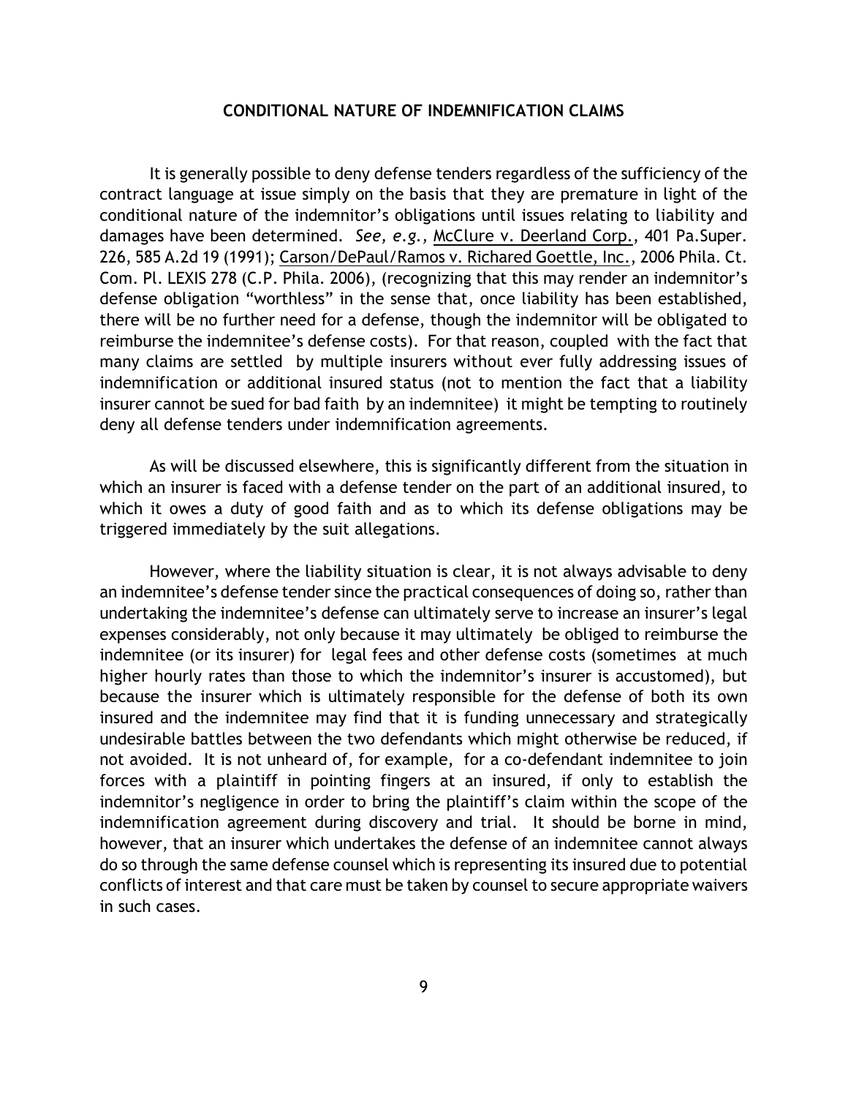#### **CONDITIONAL NATURE OF INDEMNIFICATION CLAIMS**

It is generally possible to deny defense tenders regardless of the sufficiency of the contract language at issue simply on the basis that they are premature in light of the conditional nature of the indemnitor's obligations until issues relating to liability and damages have been determined. *See, e.g.,* McClure v. Deerland Corp., 401 Pa.Super. 226, 585 A.2d 19 (1991); Carson/DePaul/Ramos v. Richared Goettle, Inc., 2006 Phila. Ct. Com. Pl. LEXIS 278 (C.P. Phila. 2006), (recognizing that this may render an indemnitor's defense obligation "worthless" in the sense that, once liability has been established, there will be no further need for a defense, though the indemnitor will be obligated to reimburse the indemnitee's defense costs). For that reason, coupled with the fact that many claims are settled by multiple insurers without ever fully addressing issues of indemnification or additional insured status (not to mention the fact that a liability insurer cannot be sued for bad faith by an indemnitee) it might be tempting to routinely deny all defense tenders under indemnification agreements.

As will be discussed elsewhere, this is significantly different from the situation in which an insurer is faced with a defense tender on the part of an additional insured, to which it owes a duty of good faith and as to which its defense obligations may be triggered immediately by the suit allegations.

However, where the liability situation is clear, it is not always advisable to deny an indemnitee's defense tender since the practical consequences of doing so, rather than undertaking the indemnitee's defense can ultimately serve to increase an insurer's legal expenses considerably, not only because it may ultimately be obliged to reimburse the indemnitee (or its insurer) for legal fees and other defense costs (sometimes at much higher hourly rates than those to which the indemnitor's insurer is accustomed), but because the insurer which is ultimately responsible for the defense of both its own insured and the indemnitee may find that it is funding unnecessary and strategically undesirable battles between the two defendants which might otherwise be reduced, if not avoided. It is not unheard of, for example, for a co-defendant indemnitee to join forces with a plaintiff in pointing fingers at an insured, if only to establish the indemnitor's negligence in order to bring the plaintiff's claim within the scope of the indemnification agreement during discovery and trial. It should be borne in mind, however, that an insurer which undertakes the defense of an indemnitee cannot always do so through the same defense counsel which is representing its insured due to potential conflicts of interest and that care must be taken by counsel to secure appropriate waivers in such cases.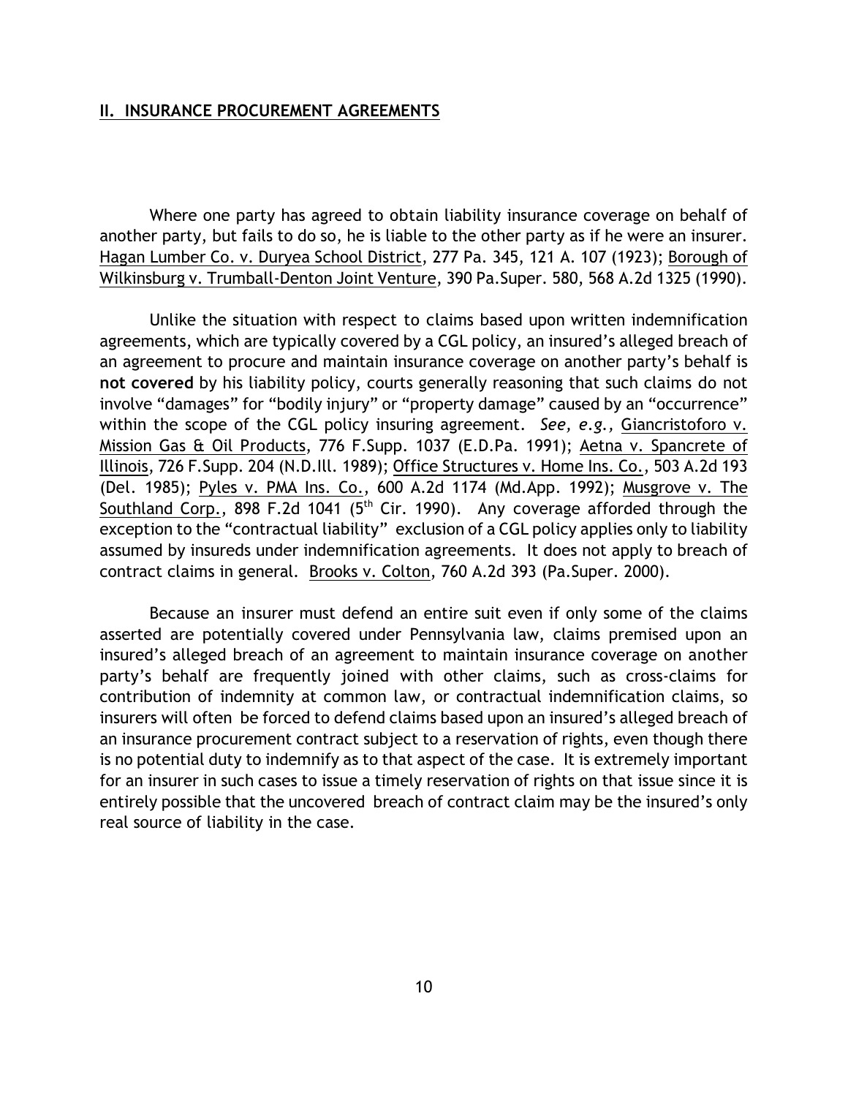#### **II. INSURANCE PROCUREMENT AGREEMENTS**

Where one party has agreed to obtain liability insurance coverage on behalf of another party, but fails to do so, he is liable to the other party as if he were an insurer. Hagan Lumber Co. v. Duryea School District, 277 Pa. 345, 121 A. 107 (1923); Borough of Wilkinsburg v. Trumball-Denton Joint Venture, 390 Pa.Super. 580, 568 A.2d 1325 (1990).

Unlike the situation with respect to claims based upon written indemnification agreements, which are typically covered by a CGL policy, an insured's alleged breach of an agreement to procure and maintain insurance coverage on another party's behalf is **not covered** by his liability policy, courts generally reasoning that such claims do not involve "damages" for "bodily injury" or "property damage" caused by an "occurrence" within the scope of the CGL policy insuring agreement. *See, e.g.,* Giancristoforo v. Mission Gas & Oil Products, 776 F.Supp. 1037 (E.D.Pa. 1991); Aetna v. Spancrete of Illinois, 726 F.Supp. 204 (N.D.Ill. 1989); Office Structures v. Home Ins. Co., 503 A.2d 193 (Del. 1985); Pyles v. PMA Ins. Co., 600 A.2d 1174 (Md.App. 1992); Musgrove v. The Southland Corp., 898 F.2d 1041 ( $5<sup>th</sup>$  Cir. 1990). Any coverage afforded through the exception to the "contractual liability" exclusion of a CGL policy applies only to liability assumed by insureds under indemnification agreements. It does not apply to breach of contract claims in general. Brooks v. Colton, 760 A.2d 393 (Pa.Super. 2000).

Because an insurer must defend an entire suit even if only some of the claims asserted are potentially covered under Pennsylvania law, claims premised upon an insured's alleged breach of an agreement to maintain insurance coverage on another party's behalf are frequently joined with other claims, such as cross-claims for contribution of indemnity at common law, or contractual indemnification claims, so insurers will often be forced to defend claims based upon an insured's alleged breach of an insurance procurement contract subject to a reservation of rights, even though there is no potential duty to indemnify as to that aspect of the case. It is extremely important for an insurer in such cases to issue a timely reservation of rights on that issue since it is entirely possible that the uncovered breach of contract claim may be the insured's only real source of liability in the case.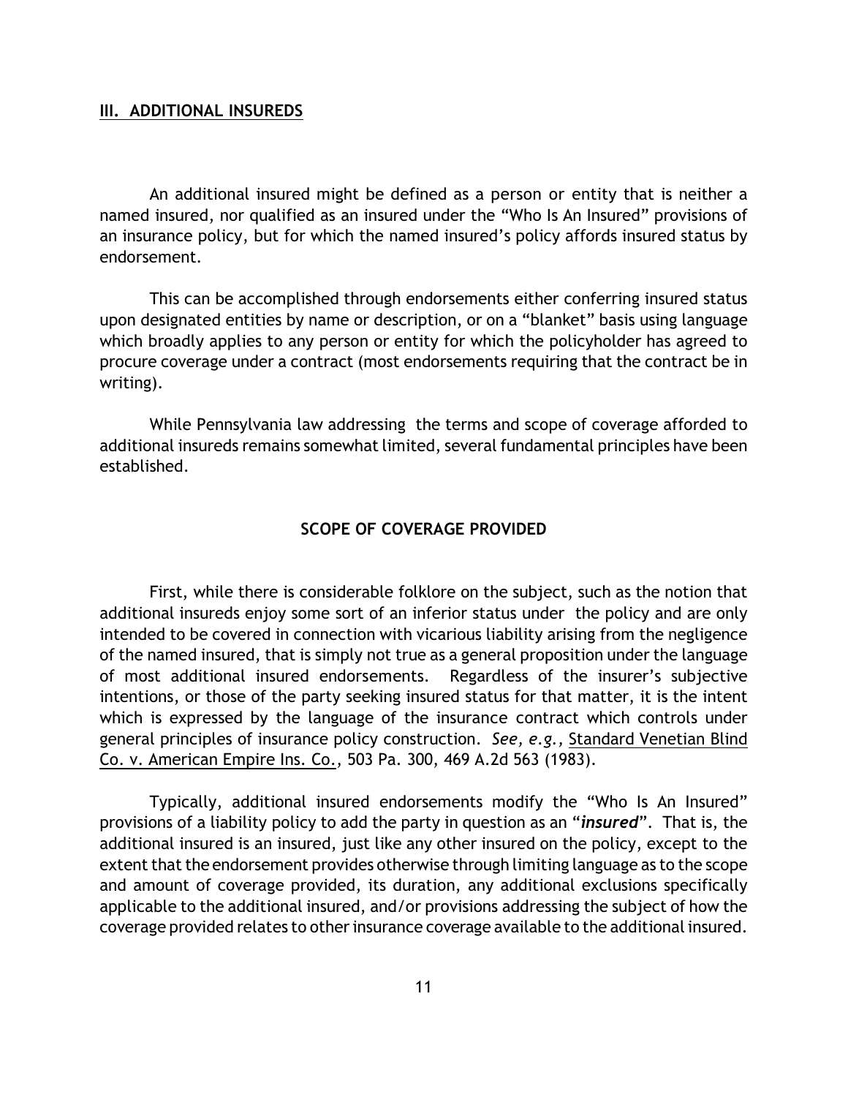#### **III. ADDITIONAL INSUREDS**

An additional insured might be defined as a person or entity that is neither a named insured, nor qualified as an insured under the "Who Is An Insured" provisions of an insurance policy, but for which the named insured's policy affords insured status by endorsement.

This can be accomplished through endorsements either conferring insured status upon designated entities by name or description, or on a "blanket" basis using language which broadly applies to any person or entity for which the policyholder has agreed to procure coverage under a contract (most endorsements requiring that the contract be in writing).

While Pennsylvania law addressing the terms and scope of coverage afforded to additional insureds remains somewhat limited, several fundamental principles have been established.

## **SCOPE OF COVERAGE PROVIDED**

First, while there is considerable folklore on the subject, such as the notion that additional insureds enjoy some sort of an inferior status under the policy and are only intended to be covered in connection with vicarious liability arising from the negligence of the named insured, that is simply not true as a general proposition under the language of most additional insured endorsements. Regardless of the insurer's subjective intentions, or those of the party seeking insured status for that matter, it is the intent which is expressed by the language of the insurance contract which controls under general principles of insurance policy construction. *See, e.g.,* Standard Venetian Blind Co. v. American Empire Ins. Co., 503 Pa. 300, 469 A.2d 563 (1983).

Typically, additional insured endorsements modify the "Who Is An Insured" provisions of a liability policy to add the party in question as an "*insured*". That is, the additional insured is an insured, just like any other insured on the policy, except to the extent that the endorsement provides otherwise through limiting language as to the scope and amount of coverage provided, its duration, any additional exclusions specifically applicable to the additional insured, and/or provisions addressing the subject of how the coverage provided relates to other insurance coverage available to the additional insured.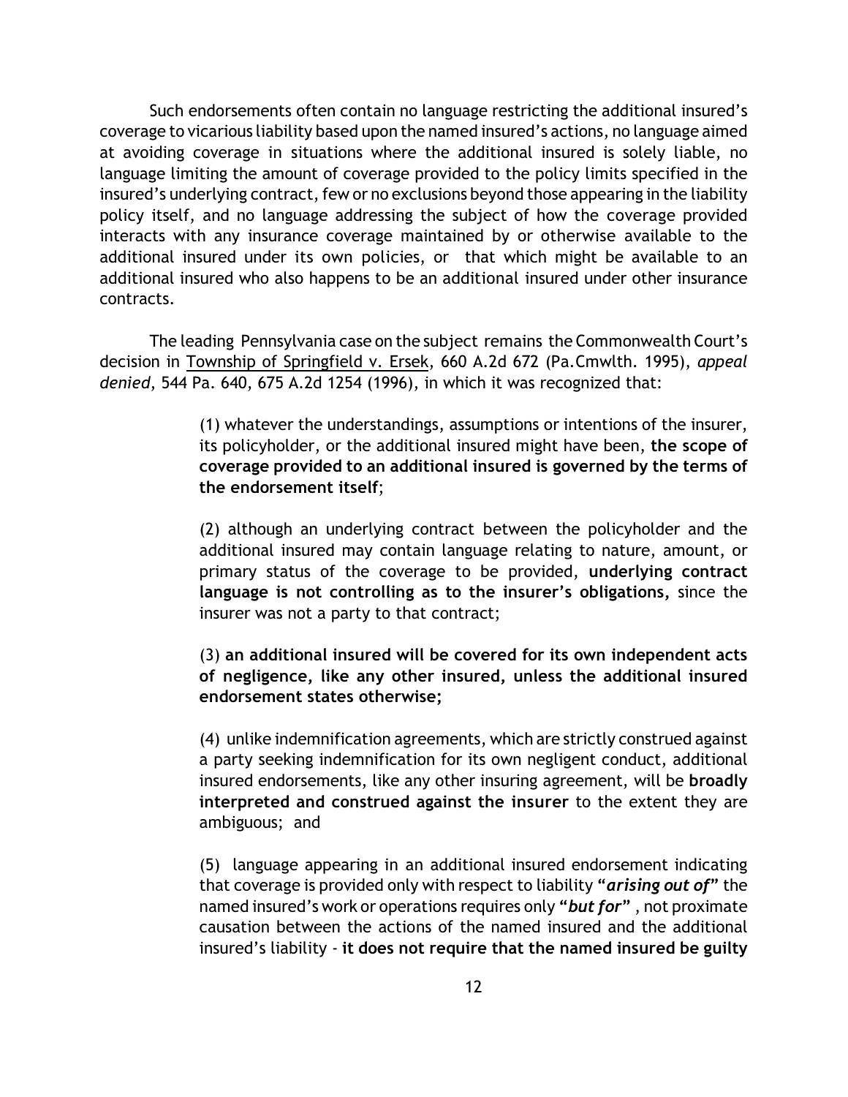Such endorsements often contain no language restricting the additional insured's coverage to vicarious liability based upon the named insured's actions, no language aimed at avoiding coverage in situations where the additional insured is solely liable, no language limiting the amount of coverage provided to the policy limits specified in the insured's underlying contract, few or no exclusions beyond those appearing in the liability policy itself, and no language addressing the subject of how the coverage provided interacts with any insurance coverage maintained by or otherwise available to the additional insured under its own policies, or that which might be available to an additional insured who also happens to be an additional insured under other insurance contracts.

The leading Pennsylvania case on the subject remains the Commonwealth Court's decision in Township of Springfield v. Ersek, 660 A.2d 672 (Pa.Cmwlth. 1995), *appeal denied*, 544 Pa. 640, 675 A.2d 1254 (1996), in which it was recognized that:

> (1) whatever the understandings, assumptions or intentions of the insurer, its policyholder, or the additional insured might have been, **the scope of coverage provided to an additional insured is governed by the terms of the endorsement itself**;

> (2) although an underlying contract between the policyholder and the additional insured may contain language relating to nature, amount, or primary status of the coverage to be provided, **underlying contract language is not controlling as to the insurer's obligations,** since the insurer was not a party to that contract;

> (3) **an additional insured will be covered for its own independent acts of negligence, like any other insured, unless the additional insured endorsement states otherwise;**

> (4) unlike indemnification agreements, which are strictly construed against a party seeking indemnification for its own negligent conduct, additional insured endorsements, like any other insuring agreement, will be **broadly interpreted and construed against the insurer** to the extent they are ambiguous; and

> (5) language appearing in an additional insured endorsement indicating that coverage is provided only with respect to liability **"***arising out of***"** the named insured's work or operations requires only **"***but for***"** , not proximate causation between the actions of the named insured and the additional insured's liability - **it does not require that the named insured be guilty**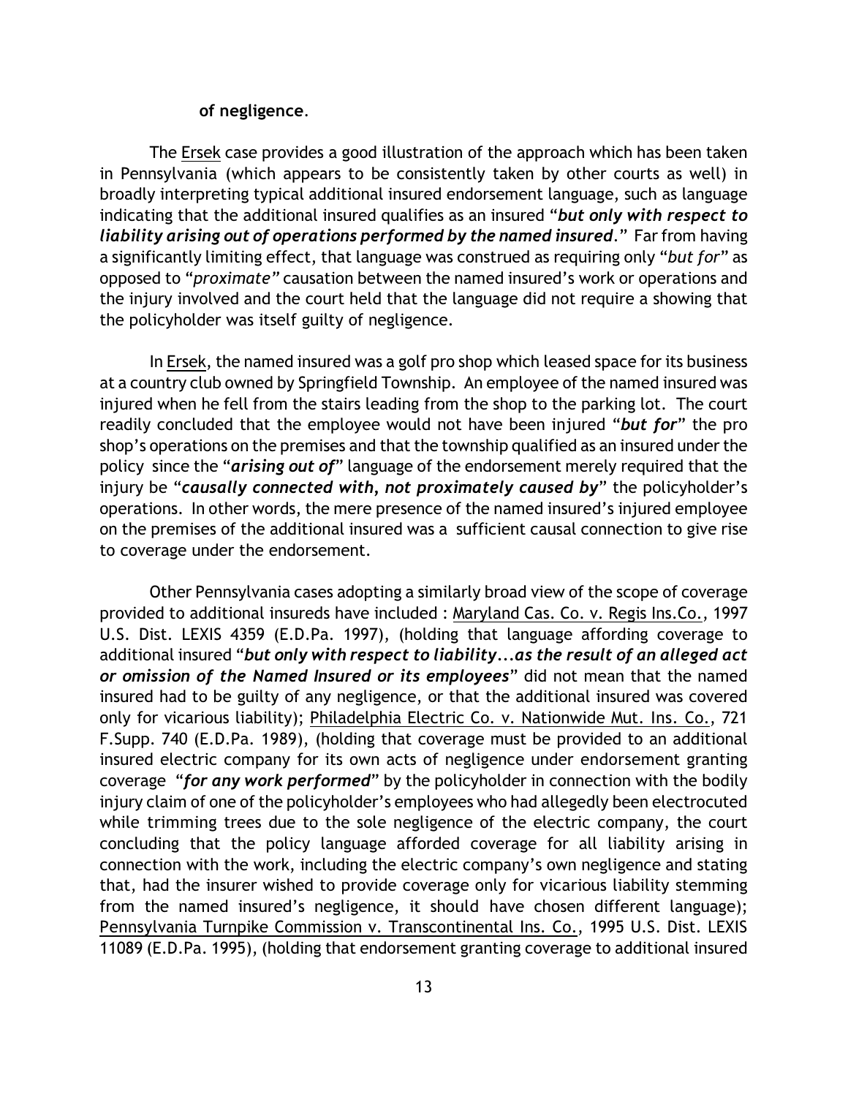#### **of negligence**.

The Ersek case provides a good illustration of the approach which has been taken in Pennsylvania (which appears to be consistently taken by other courts as well) in broadly interpreting typical additional insured endorsement language, such as language indicating that the additional insured qualifies as an insured "*but only with respect to liability arising out of operations performed by the named insured*." Far from having a significantly limiting effect, that language was construed as requiring only "*but for*" as opposed to "*proximate"* causation between the named insured's work or operations and the injury involved and the court held that the language did not require a showing that the policyholder was itself guilty of negligence.

In Ersek, the named insured was a golf pro shop which leased space for its business at a country club owned by Springfield Township. An employee of the named insured was injured when he fell from the stairs leading from the shop to the parking lot. The court readily concluded that the employee would not have been injured "*but for*" the pro shop's operations on the premises and that the township qualified as an insured under the policy since the "*arising out of*" language of the endorsement merely required that the injury be "*causally connected with, not proximately caused by*" the policyholder's operations. In other words, the mere presence of the named insured's injured employee on the premises of the additional insured was a sufficient causal connection to give rise to coverage under the endorsement.

Other Pennsylvania cases adopting a similarly broad view of the scope of coverage provided to additional insureds have included : Maryland Cas. Co. v. Regis Ins.Co., 1997 U.S. Dist. LEXIS 4359 (E.D.Pa. 1997), (holding that language affording coverage to additional insured "*but only with respect to liability...as the result of an alleged act or omission of the Named Insured or its employees*" did not mean that the named insured had to be guilty of any negligence, or that the additional insured was covered only for vicarious liability); Philadelphia Electric Co. v. Nationwide Mut. Ins. Co., 721 F.Supp. 740 (E.D.Pa. 1989), (holding that coverage must be provided to an additional insured electric company for its own acts of negligence under endorsement granting coverage "*for any work performed*" by the policyholder in connection with the bodily injury claim of one of the policyholder's employees who had allegedly been electrocuted while trimming trees due to the sole negligence of the electric company, the court concluding that the policy language afforded coverage for all liability arising in connection with the work, including the electric company's own negligence and stating that, had the insurer wished to provide coverage only for vicarious liability stemming from the named insured's negligence, it should have chosen different language); Pennsylvania Turnpike Commission v. Transcontinental Ins. Co., 1995 U.S. Dist. LEXIS 11089 (E.D.Pa. 1995), (holding that endorsement granting coverage to additional insured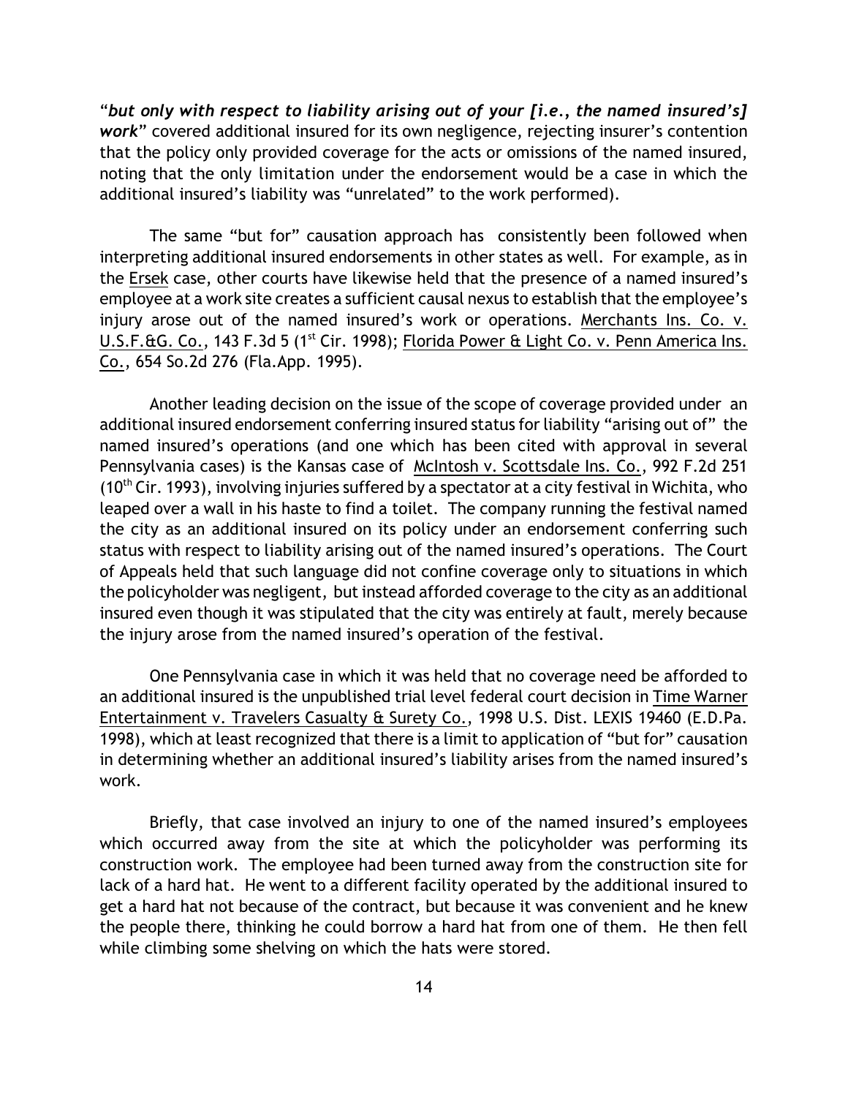"*but only with respect to liability arising out of your [i.e., the named insured's] work*" covered additional insured for its own negligence, rejecting insurer's contention that the policy only provided coverage for the acts or omissions of the named insured, noting that the only limitation under the endorsement would be a case in which the additional insured's liability was "unrelated" to the work performed).

The same "but for" causation approach has consistently been followed when interpreting additional insured endorsements in other states as well. For example, as in the Ersek case, other courts have likewise held that the presence of a named insured's employee at a work site creates a sufficient causal nexus to establish that the employee's injury arose out of the named insured's work or operations. Merchants Ins. Co. v. U.S.F. $\triangle G$ . Co., 143 F.3d 5 (1<sup>st</sup> Cir. 1998); Florida Power  $\triangle E$  Light Co. v. Penn America Ins. Co., 654 So.2d 276 (Fla.App. 1995).

Another leading decision on the issue of the scope of coverage provided under an additional insured endorsement conferring insured status for liability "arising out of" the named insured's operations (and one which has been cited with approval in several Pennsylvania cases) is the Kansas case of McIntosh v. Scottsdale Ins. Co., 992 F.2d 251 (10<sup>th</sup> Cir. 1993), involving injuries suffered by a spectator at a city festival in Wichita, who leaped over a wall in his haste to find a toilet. The company running the festival named the city as an additional insured on its policy under an endorsement conferring such status with respect to liability arising out of the named insured's operations. The Court of Appeals held that such language did not confine coverage only to situations in which the policyholder was negligent, but instead afforded coverage to the city as an additional insured even though it was stipulated that the city was entirely at fault, merely because the injury arose from the named insured's operation of the festival.

One Pennsylvania case in which it was held that no coverage need be afforded to an additional insured is the unpublished trial level federal court decision in Time Warner Entertainment v. Travelers Casualty & Surety Co., 1998 U.S. Dist. LEXIS 19460 (E.D.Pa. 1998), which at least recognized that there is a limit to application of "but for" causation in determining whether an additional insured's liability arises from the named insured's work.

Briefly, that case involved an injury to one of the named insured's employees which occurred away from the site at which the policyholder was performing its construction work. The employee had been turned away from the construction site for lack of a hard hat. He went to a different facility operated by the additional insured to get a hard hat not because of the contract, but because it was convenient and he knew the people there, thinking he could borrow a hard hat from one of them. He then fell while climbing some shelving on which the hats were stored.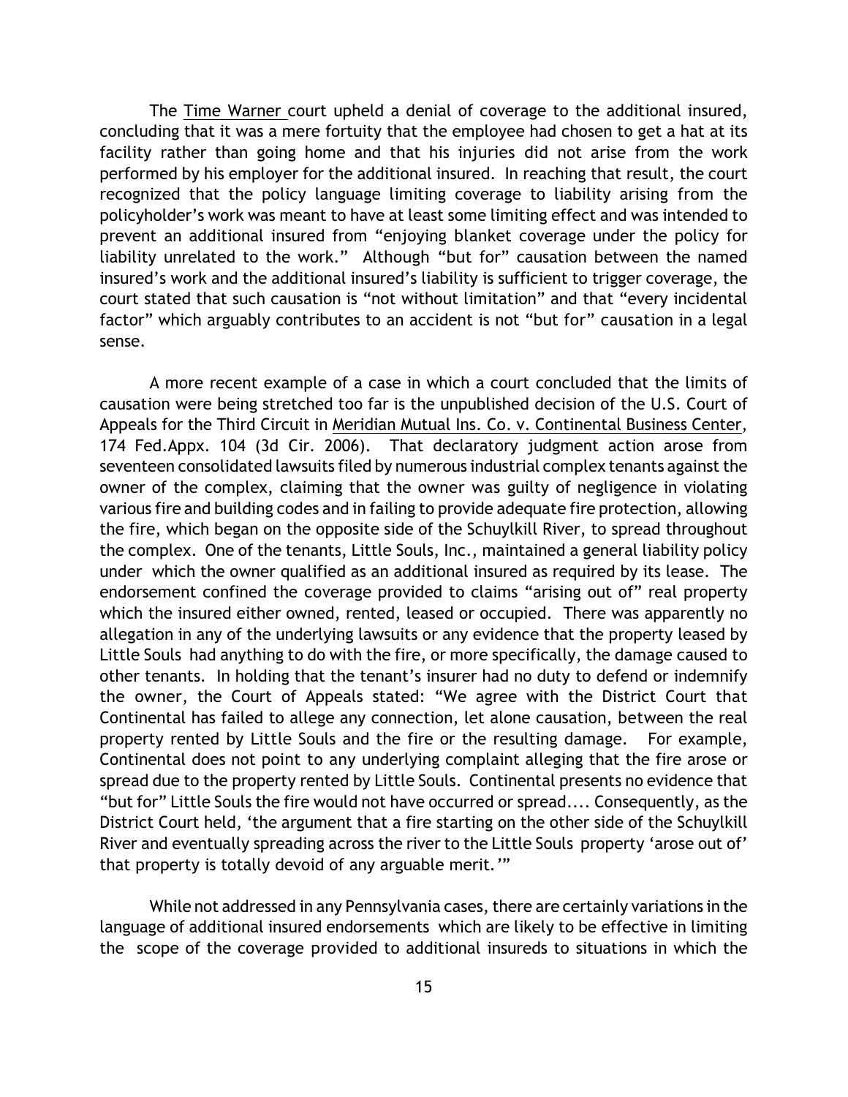The Time Warner court upheld a denial of coverage to the additional insured, concluding that it was a mere fortuity that the employee had chosen to get a hat at its facility rather than going home and that his injuries did not arise from the work performed by his employer for the additional insured. In reaching that result, the court recognized that the policy language limiting coverage to liability arising from the policyholder's work was meant to have at least some limiting effect and was intended to prevent an additional insured from "enjoying blanket coverage under the policy for liability unrelated to the work." Although "but for" causation between the named insured's work and the additional insured's liability is sufficient to trigger coverage, the court stated that such causation is "not without limitation" and that "every incidental factor" which arguably contributes to an accident is not "but for" causation in a legal sense.

A more recent example of a case in which a court concluded that the limits of causation were being stretched too far is the unpublished decision of the U.S. Court of Appeals for the Third Circuit in Meridian Mutual Ins. Co. v. Continental Business Center, 174 Fed.Appx. 104 (3d Cir. 2006). That declaratory judgment action arose from seventeen consolidated lawsuits filed by numerous industrial complex tenants against the owner of the complex, claiming that the owner was guilty of negligence in violating various fire and building codes and in failing to provide adequate fire protection, allowing the fire, which began on the opposite side of the Schuylkill River, to spread throughout the complex. One of the tenants, Little Souls, Inc., maintained a general liability policy under which the owner qualified as an additional insured as required by its lease. The endorsement confined the coverage provided to claims "arising out of" real property which the insured either owned, rented, leased or occupied. There was apparently no allegation in any of the underlying lawsuits or any evidence that the property leased by Little Souls had anything to do with the fire, or more specifically, the damage caused to other tenants. In holding that the tenant's insurer had no duty to defend or indemnify the owner, the Court of Appeals stated: "We agree with the District Court that Continental has failed to allege any connection, let alone causation, between the real property rented by Little Souls and the fire or the resulting damage. For example, Continental does not point to any underlying complaint alleging that the fire arose or spread due to the property rented by Little Souls. Continental presents no evidence that "but for" Little Souls the fire would not have occurred or spread.... Consequently, as the District Court held, 'the argument that a fire starting on the other side of the Schuylkill River and eventually spreading across the river to the Little Souls property 'arose out of' that property is totally devoid of any arguable merit*.'*"

While not addressed in any Pennsylvania cases, there are certainly variations in the language of additional insured endorsements which are likely to be effective in limiting the scope of the coverage provided to additional insureds to situations in which the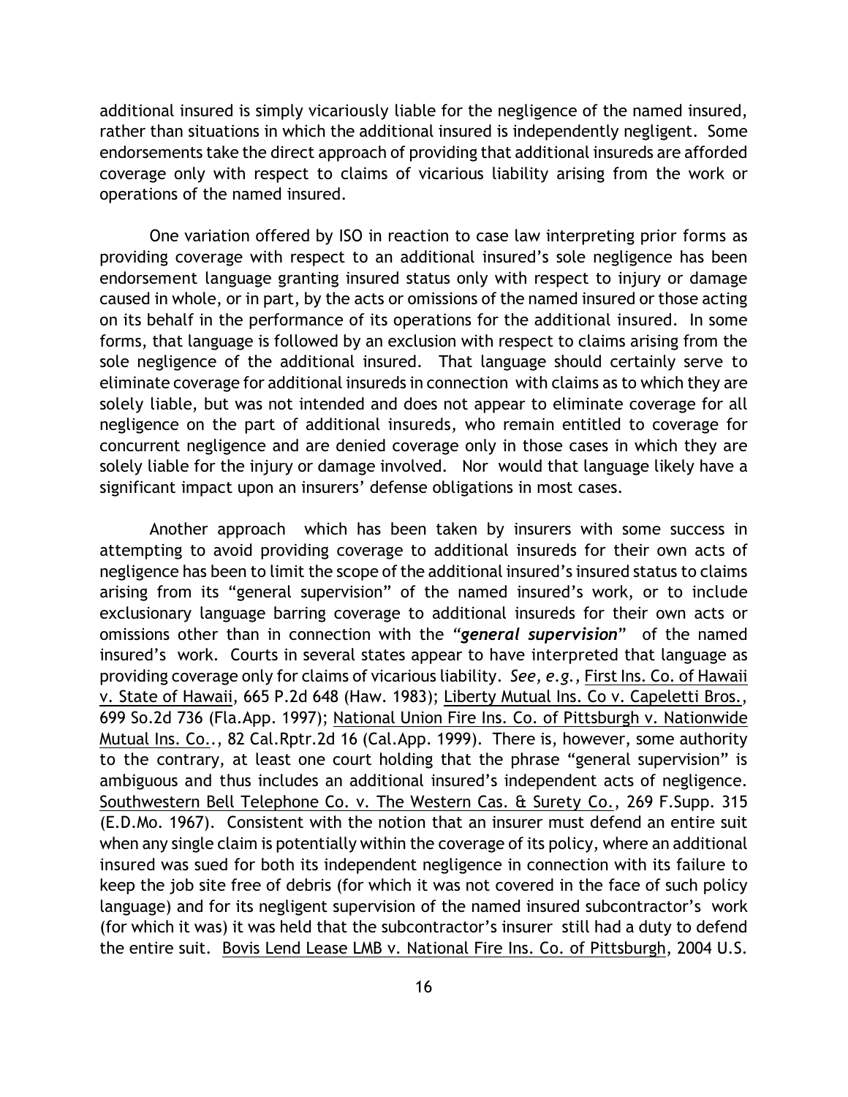additional insured is simply vicariously liable for the negligence of the named insured, rather than situations in which the additional insured is independently negligent. Some endorsements take the direct approach of providing that additional insureds are afforded coverage only with respect to claims of vicarious liability arising from the work or operations of the named insured.

One variation offered by ISO in reaction to case law interpreting prior forms as providing coverage with respect to an additional insured's sole negligence has been endorsement language granting insured status only with respect to injury or damage caused in whole, or in part, by the acts or omissions of the named insured or those acting on its behalf in the performance of its operations for the additional insured. In some forms, that language is followed by an exclusion with respect to claims arising from the sole negligence of the additional insured. That language should certainly serve to eliminate coverage for additional insureds in connection with claims as to which they are solely liable, but was not intended and does not appear to eliminate coverage for all negligence on the part of additional insureds, who remain entitled to coverage for concurrent negligence and are denied coverage only in those cases in which they are solely liable for the injury or damage involved. Nor would that language likely have a significant impact upon an insurers' defense obligations in most cases.

Another approach which has been taken by insurers with some success in attempting to avoid providing coverage to additional insureds for their own acts of negligence has been to limit the scope of the additional insured's insured status to claims arising from its "general supervision" of the named insured's work, or to include exclusionary language barring coverage to additional insureds for their own acts or omissions other than in connection with the *"general supervision*" of the named insured's work. Courts in several states appear to have interpreted that language as providing coverage only for claims of vicarious liability. *See, e.g.,* First Ins. Co. of Hawaii v. State of Hawaii, 665 P.2d 648 (Haw. 1983); Liberty Mutual Ins. Co v. Capeletti Bros., 699 So.2d 736 (Fla.App. 1997); National Union Fire Ins. Co. of Pittsburgh v. Nationwide Mutual Ins. Co.., 82 Cal.Rptr.2d 16 (Cal.App. 1999). There is, however, some authority to the contrary, at least one court holding that the phrase "general supervision" is ambiguous and thus includes an additional insured's independent acts of negligence. Southwestern Bell Telephone Co. v. The Western Cas. & Surety Co., 269 F.Supp. 315 (E.D.Mo. 1967). Consistent with the notion that an insurer must defend an entire suit when any single claim is potentially within the coverage of its policy, where an additional insured was sued for both its independent negligence in connection with its failure to keep the job site free of debris (for which it was not covered in the face of such policy language) and for its negligent supervision of the named insured subcontractor's work (for which it was) it was held that the subcontractor's insurer still had a duty to defend the entire suit. Bovis Lend Lease LMB v. National Fire Ins. Co. of Pittsburgh, 2004 U.S.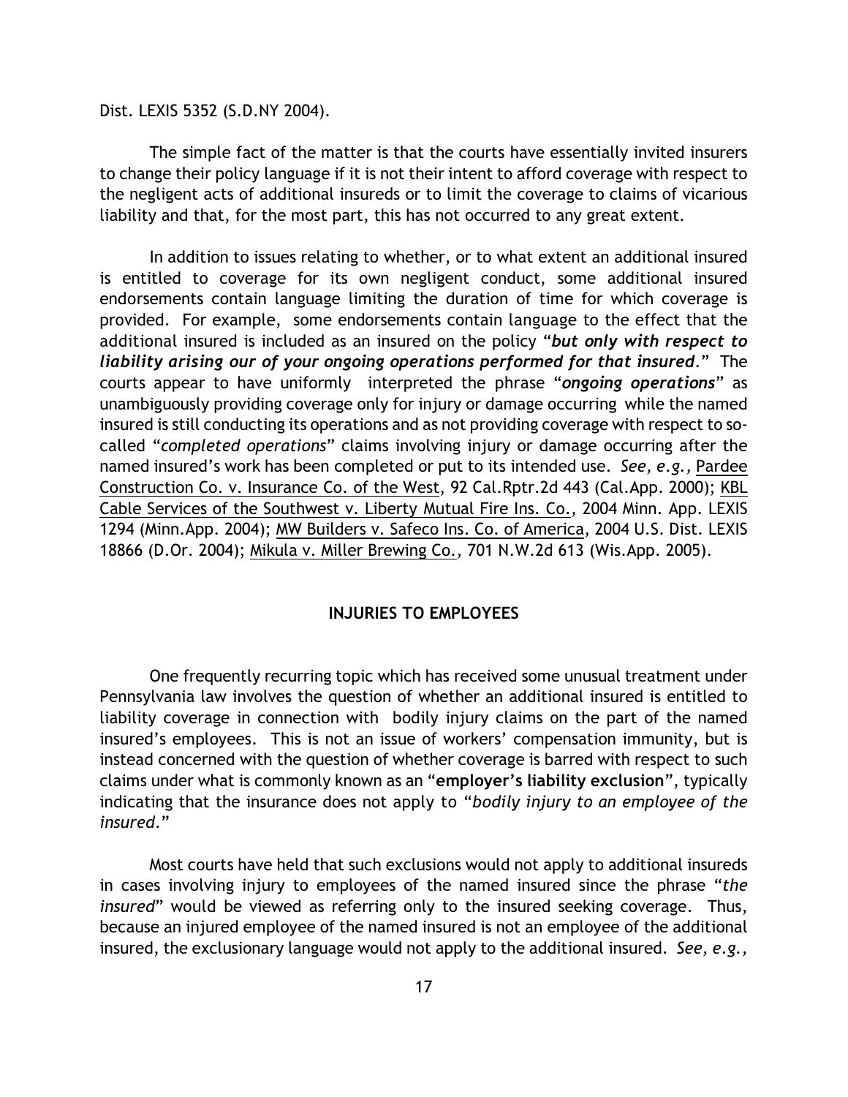Dist. LEXIS 5352 (S.D.NY 2004).

The simple fact of the matter is that the courts have essentially invited insurers to change their policy language if it is not their intent to afford coverage with respect to the negligent acts of additional insureds or to limit the coverage to claims of vicarious liability and that, for the most part, this has not occurred to any great extent.

In addition to issues relating to whether, or to what extent an additional insured is entitled to coverage for its own negligent conduct, some additional insured endorsements contain language limiting the duration of time for which coverage is provided. For example, some endorsements contain language to the effect that the additional insured is included as an insured on the policy "*but only with respect to liability arising our of your ongoing operations performed for that insured*." The courts appear to have uniformly interpreted the phrase "*ongoing operations*" as unambiguously providing coverage only for injury or damage occurring while the named insured is still conducting its operations and as not providing coverage with respect to socalled "*completed operations*" claims involving injury or damage occurring after the named insured's work has been completed or put to its intended use. *See, e.g.,* Pardee Construction Co. v. Insurance Co. of the West, 92 Cal.Rptr.2d 443 (Cal.App. 2000); KBL Cable Services of the Southwest v. Liberty Mutual Fire Ins. Co., 2004 Minn. App. LEXIS 1294 (Minn.App. 2004); MW Builders v. Safeco Ins. Co. of America, 2004 U.S. Dist. LEXIS 18866 (D.Or. 2004); Mikula v. Miller Brewing Co., 701 N.W.2d 613 (Wis.App. 2005).

## **INJURIES TO EMPLOYEES**

One frequently recurring topic which has received some unusual treatment under Pennsylvania law involves the question of whether an additional insured is entitled to liability coverage in connection with bodily injury claims on the part of the named insured's employees. This is not an issue of workers' compensation immunity, but is instead concerned with the question of whether coverage is barred with respect to such claims under what is commonly known as an "**employer's liability exclusion**", typically indicating that the insurance does not apply to "*bodily injury to an employee of the insured*."

Most courts have held that such exclusions would not apply to additional insureds in cases involving injury to employees of the named insured since the phrase "*the insured*" would be viewed as referring only to the insured seeking coverage. Thus, because an injured employee of the named insured is not an employee of the additional insured, the exclusionary language would not apply to the additional insured. *See, e.g.,*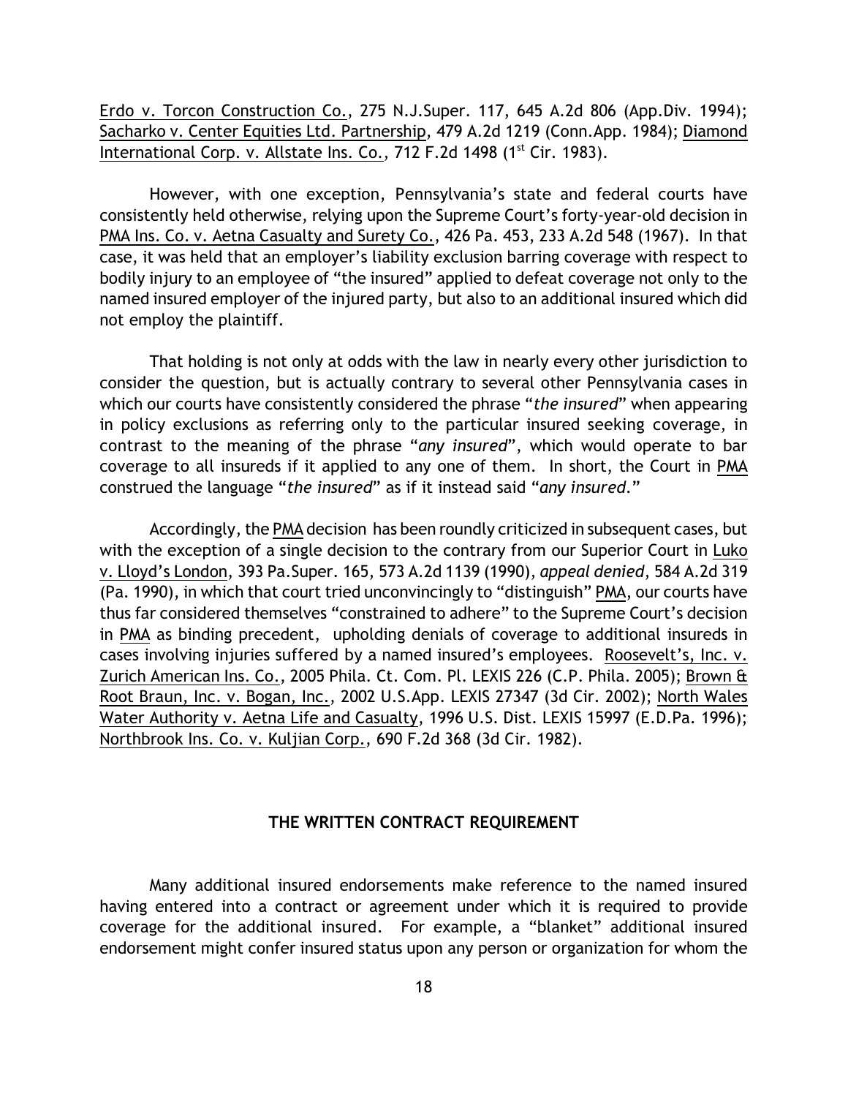Erdo v. Torcon Construction Co., 275 N.J.Super. 117, 645 A.2d 806 (App.Div. 1994); Sacharko v. Center Equities Ltd. Partnership, 479 A.2d 1219 (Conn.App. 1984); Diamond International Corp. v. Allstate Ins. Co.,  $712$  F.2d  $1498$  ( $1<sup>st</sup>$  Cir. 1983).

However, with one exception, Pennsylvania's state and federal courts have consistently held otherwise, relying upon the Supreme Court's forty-year-old decision in PMA Ins. Co. v. Aetna Casualty and Surety Co., 426 Pa. 453, 233 A.2d 548 (1967). In that case, it was held that an employer's liability exclusion barring coverage with respect to bodily injury to an employee of "the insured" applied to defeat coverage not only to the named insured employer of the injured party, but also to an additional insured which did not employ the plaintiff.

That holding is not only at odds with the law in nearly every other jurisdiction to consider the question, but is actually contrary to several other Pennsylvania cases in which our courts have consistently considered the phrase "*the insured*" when appearing in policy exclusions as referring only to the particular insured seeking coverage, in contrast to the meaning of the phrase "*any insured*", which would operate to bar coverage to all insureds if it applied to any one of them. In short, the Court in PMA construed the language "*the insured*" as if it instead said "*any insured*."

Accordingly, the PMA decision has been roundly criticized in subsequent cases, but with the exception of a single decision to the contrary from our Superior Court in Luko v. Lloyd's London, 393 Pa.Super. 165, 573 A.2d 1139 (1990), *appeal denied*, 584 A.2d 319 (Pa. 1990), in which that court tried unconvincingly to "distinguish" PMA, our courts have thus far considered themselves "constrained to adhere" to the Supreme Court's decision in PMA as binding precedent, upholding denials of coverage to additional insureds in cases involving injuries suffered by a named insured's employees. Roosevelt's, Inc. v. Zurich American Ins. Co., 2005 Phila. Ct. Com. Pl. LEXIS 226 (C.P. Phila. 2005); Brown & Root Braun, Inc. v. Bogan, Inc., 2002 U.S.App. LEXIS 27347 (3d Cir. 2002); North Wales Water Authority v. Aetna Life and Casualty, 1996 U.S. Dist. LEXIS 15997 (E.D.Pa. 1996); Northbrook Ins. Co. v. Kuljian Corp., 690 F.2d 368 (3d Cir. 1982).

## **THE WRITTEN CONTRACT REQUIREMENT**

Many additional insured endorsements make reference to the named insured having entered into a contract or agreement under which it is required to provide coverage for the additional insured. For example, a "blanket" additional insured endorsement might confer insured status upon any person or organization for whom the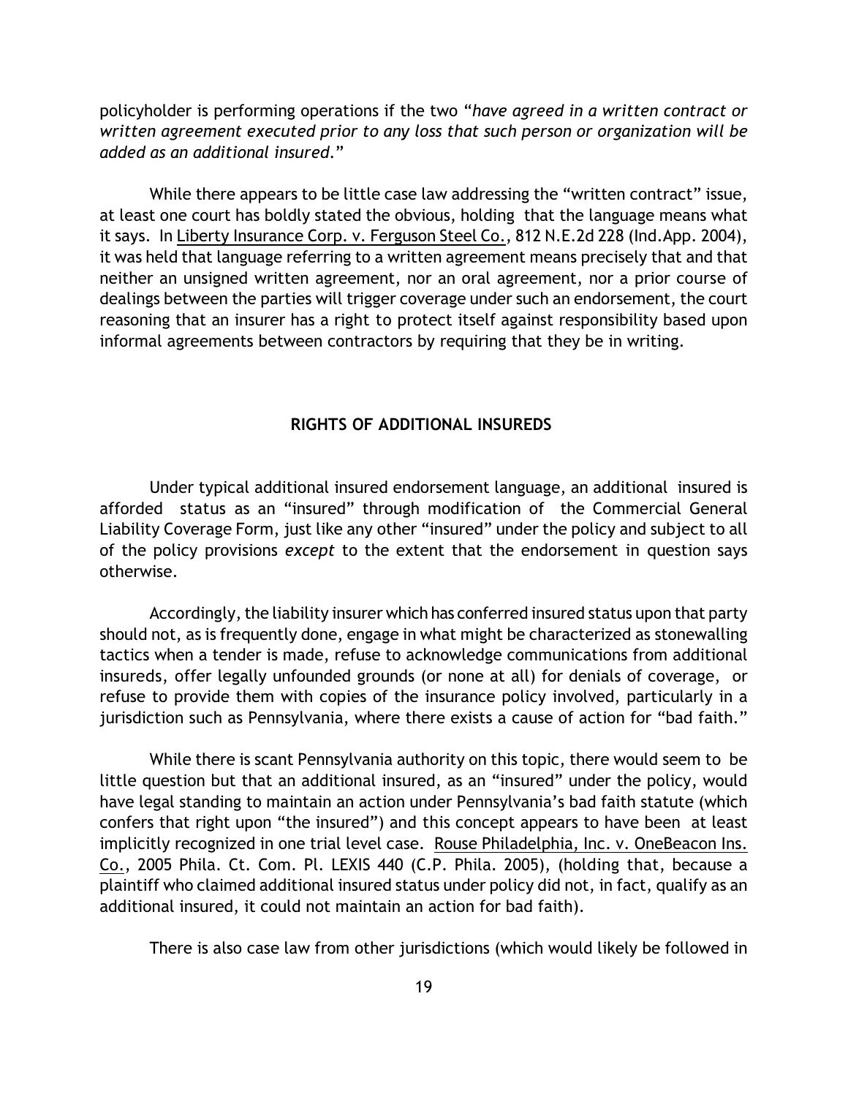policyholder is performing operations if the two "*have agreed in a written contract or written agreement executed prior to any loss that such person or organization will be added as an additional insured*."

While there appears to be little case law addressing the "written contract" issue, at least one court has boldly stated the obvious, holding that the language means what it says. In Liberty Insurance Corp. v. Ferguson Steel Co., 812 N.E.2d 228 (Ind.App. 2004), it was held that language referring to a written agreement means precisely that and that neither an unsigned written agreement, nor an oral agreement, nor a prior course of dealings between the parties will trigger coverage under such an endorsement, the court reasoning that an insurer has a right to protect itself against responsibility based upon informal agreements between contractors by requiring that they be in writing.

## **RIGHTS OF ADDITIONAL INSUREDS**

Under typical additional insured endorsement language, an additional insured is afforded status as an "insured" through modification of the Commercial General Liability Coverage Form, just like any other "insured" under the policy and subject to all of the policy provisions *except* to the extent that the endorsement in question says otherwise.

Accordingly, the liability insurer which has conferred insured status upon that party should not, as is frequently done, engage in what might be characterized as stonewalling tactics when a tender is made, refuse to acknowledge communications from additional insureds, offer legally unfounded grounds (or none at all) for denials of coverage, or refuse to provide them with copies of the insurance policy involved, particularly in a jurisdiction such as Pennsylvania, where there exists a cause of action for "bad faith."

While there is scant Pennsylvania authority on this topic, there would seem to be little question but that an additional insured, as an "insured" under the policy, would have legal standing to maintain an action under Pennsylvania's bad faith statute (which confers that right upon "the insured") and this concept appears to have been at least implicitly recognized in one trial level case. Rouse Philadelphia, Inc. v. OneBeacon Ins. Co., 2005 Phila. Ct. Com. Pl. LEXIS 440 (C.P. Phila. 2005), (holding that, because a plaintiff who claimed additional insured status under policy did not, in fact, qualify as an additional insured, it could not maintain an action for bad faith).

There is also case law from other jurisdictions (which would likely be followed in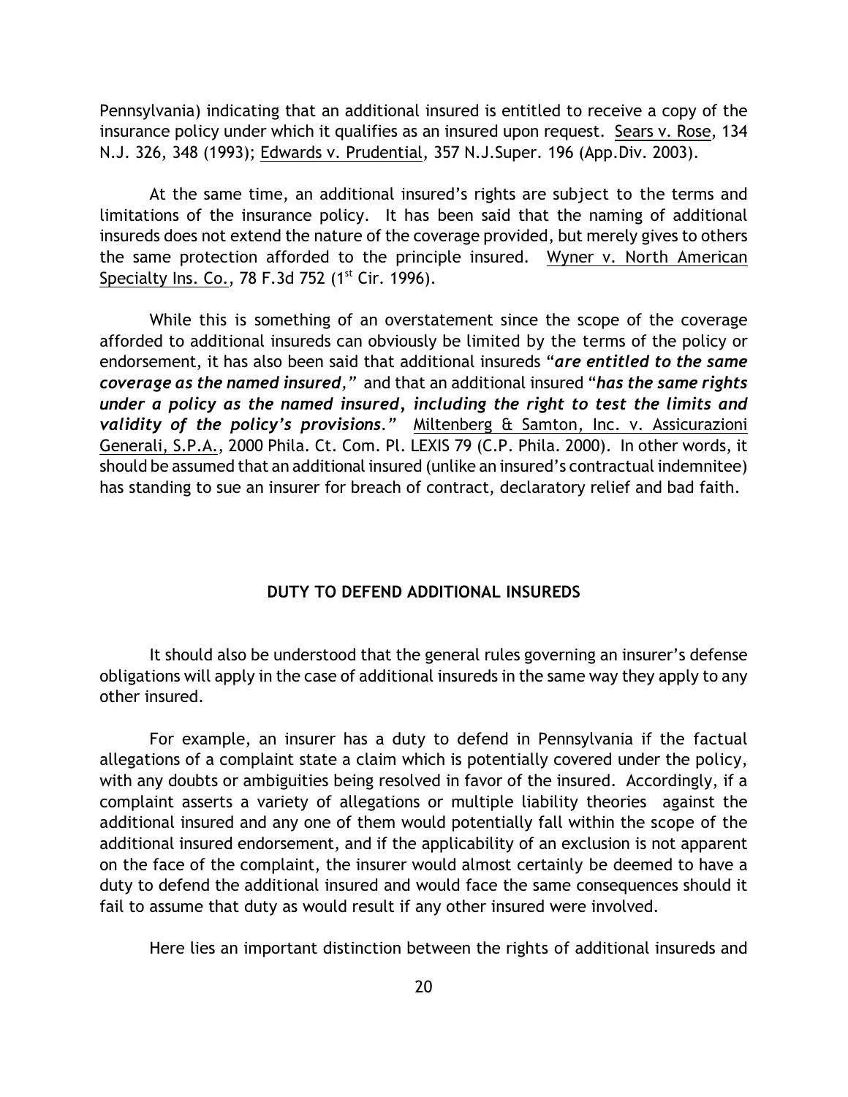Pennsylvania) indicating that an additional insured is entitled to receive a copy of the insurance policy under which it qualifies as an insured upon request. Sears v. Rose, 134 N.J. 326, 348 (1993); Edwards v. Prudential, 357 N.J.Super. 196 (App.Div. 2003).

At the same time, an additional insured's rights are subject to the terms and limitations of the insurance policy. It has been said that the naming of additional insureds does not extend the nature of the coverage provided, but merely gives to others the same protection afforded to the principle insured. Wyner v. North American Specialty Ins. Co., 78 F.3d 752  $(1<sup>st</sup> Cir. 1996)$ .

While this is something of an overstatement since the scope of the coverage afforded to additional insureds can obviously be limited by the terms of the policy or endorsement, it has also been said that additional insureds "*are entitled to the same coverage as the named insured,"* and that an additional insured "*has the same rights under a policy as the named insured, including the right to test the limits and validity of the policy's provisions."* Miltenberg & Samton, Inc. v. Assicurazioni Generali, S.P.A., 2000 Phila. Ct. Com. Pl. LEXIS 79 (C.P. Phila. 2000).In other words, it should be assumed that an additional insured (unlike an insured's contractual indemnitee) has standing to sue an insurer for breach of contract, declaratory relief and bad faith.

## **DUTY TO DEFEND ADDITIONAL INSUREDS**

It should also be understood that the general rules governing an insurer's defense obligations will apply in the case of additional insureds in the same way they apply to any other insured.

For example, an insurer has a duty to defend in Pennsylvania if the factual allegations of a complaint state a claim which is potentially covered under the policy, with any doubts or ambiguities being resolved in favor of the insured. Accordingly, if a complaint asserts a variety of allegations or multiple liability theories against the additional insured and any one of them would potentially fall within the scope of the additional insured endorsement, and if the applicability of an exclusion is not apparent on the face of the complaint, the insurer would almost certainly be deemed to have a duty to defend the additional insured and would face the same consequences should it fail to assume that duty as would result if any other insured were involved.

Here lies an important distinction between the rights of additional insureds and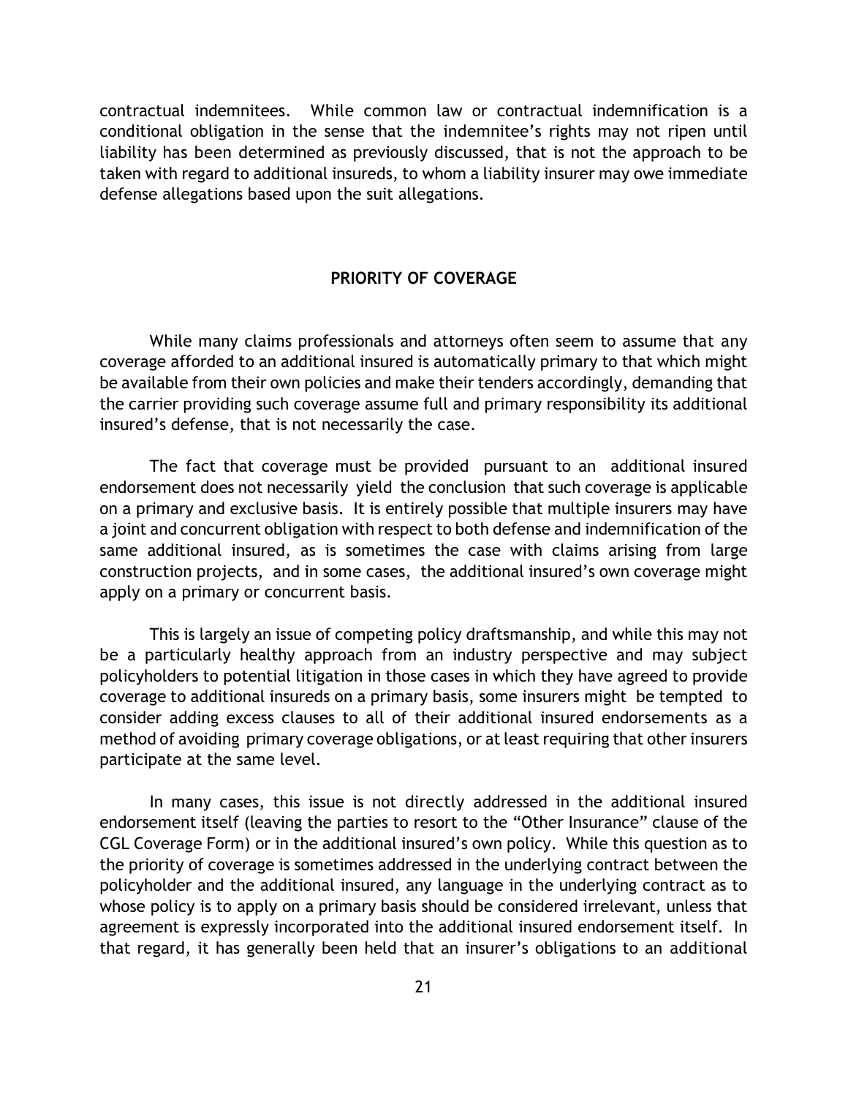contractual indemnitees. While common law or contractual indemnification is a conditional obligation in the sense that the indemnitee's rights may not ripen until liability has been determined as previously discussed, that is not the approach to be taken with regard to additional insureds, to whom a liability insurer may owe immediate defense allegations based upon the suit allegations.

## **PRIORITY OF COVERAGE**

While many claims professionals and attorneys often seem to assume that any coverage afforded to an additional insured is automatically primary to that which might be available from their own policies and make their tenders accordingly, demanding that the carrier providing such coverage assume full and primary responsibility its additional insured's defense, that is not necessarily the case.

The fact that coverage must be provided pursuant to an additional insured endorsement does not necessarily yield the conclusion that such coverage is applicable on a primary and exclusive basis. It is entirely possible that multiple insurers may have a joint and concurrent obligation with respect to both defense and indemnification of the same additional insured, as is sometimes the case with claims arising from large construction projects, and in some cases, the additional insured's own coverage might apply on a primary or concurrent basis.

This is largely an issue of competing policy draftsmanship, and while this may not be a particularly healthy approach from an industry perspective and may subject policyholders to potential litigation in those cases in which they have agreed to provide coverage to additional insureds on a primary basis, some insurers might be tempted to consider adding excess clauses to all of their additional insured endorsements as a method of avoiding primary coverage obligations, or at least requiring that other insurers participate at the same level.

In many cases, this issue is not directly addressed in the additional insured endorsement itself (leaving the parties to resort to the "Other Insurance" clause of the CGL Coverage Form) or in the additional insured's own policy. While this question as to the priority of coverage is sometimes addressed in the underlying contract between the policyholder and the additional insured, any language in the underlying contract as to whose policy is to apply on a primary basis should be considered irrelevant, unless that agreement is expressly incorporated into the additional insured endorsement itself. In that regard, it has generally been held that an insurer's obligations to an additional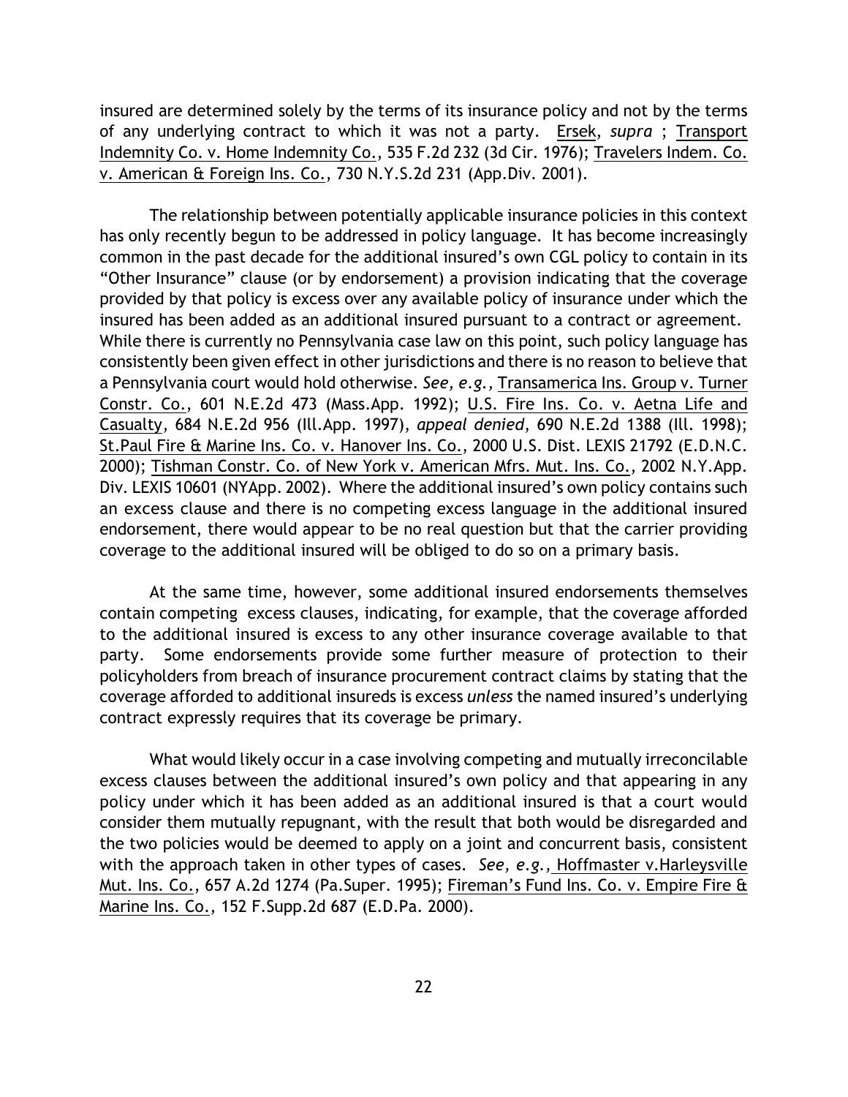insured are determined solely by the terms of its insurance policy and not by the terms of any underlying contract to which it was not a party. Ersek, *supra* ; Transport Indemnity Co. v. Home Indemnity Co., 535 F.2d 232 (3d Cir. 1976); Travelers Indem. Co. v. American & Foreign Ins. Co., 730 N.Y.S.2d 231 (App.Div. 2001).

The relationship between potentially applicable insurance policies in this context has only recently begun to be addressed in policy language. It has become increasingly common in the past decade for the additional insured's own CGL policy to contain in its "Other Insurance" clause (or by endorsement) a provision indicating that the coverage provided by that policy is excess over any available policy of insurance under which the insured has been added as an additional insured pursuant to a contract or agreement. While there is currently no Pennsylvania case law on this point, such policy language has consistently been given effect in other jurisdictions and there is no reason to believe that a Pennsylvania court would hold otherwise. *See, e.g.,* Transamerica Ins. Group v. Turner Constr. Co., 601 N.E.2d 473 (Mass.App. 1992); U.S. Fire Ins. Co. v. Aetna Life and Casualty, 684 N.E.2d 956 (Ill.App. 1997), *appeal denied*, 690 N.E.2d 1388 (Ill. 1998); St.Paul Fire & Marine Ins. Co. v. Hanover Ins. Co., 2000 U.S. Dist. LEXIS 21792 (E.D.N.C. 2000); Tishman Constr. Co. of New York v. American Mfrs. Mut. Ins. Co., 2002 N.Y.App. Div. LEXIS 10601 (NYApp. 2002). Where the additional insured's own policy contains such an excess clause and there is no competing excess language in the additional insured endorsement, there would appear to be no real question but that the carrier providing coverage to the additional insured will be obliged to do so on a primary basis.

At the same time, however, some additional insured endorsements themselves contain competing excess clauses, indicating, for example, that the coverage afforded to the additional insured is excess to any other insurance coverage available to that party. Some endorsements provide some further measure of protection to their policyholders from breach of insurance procurement contract claims by stating that the coverage afforded to additional insureds is excess *unless* the named insured's underlying contract expressly requires that its coverage be primary.

What would likely occur in a case involving competing and mutually irreconcilable excess clauses between the additional insured's own policy and that appearing in any policy under which it has been added as an additional insured is that a court would consider them mutually repugnant, with the result that both would be disregarded and the two policies would be deemed to apply on a joint and concurrent basis, consistent with the approach taken in other types of cases. *See, e.g.,* Hoffmaster v.Harleysville Mut. Ins. Co., 657 A.2d 1274 (Pa.Super. 1995); Fireman's Fund Ins. Co. v. Empire Fire & Marine Ins. Co., 152 F.Supp.2d 687 (E.D.Pa. 2000).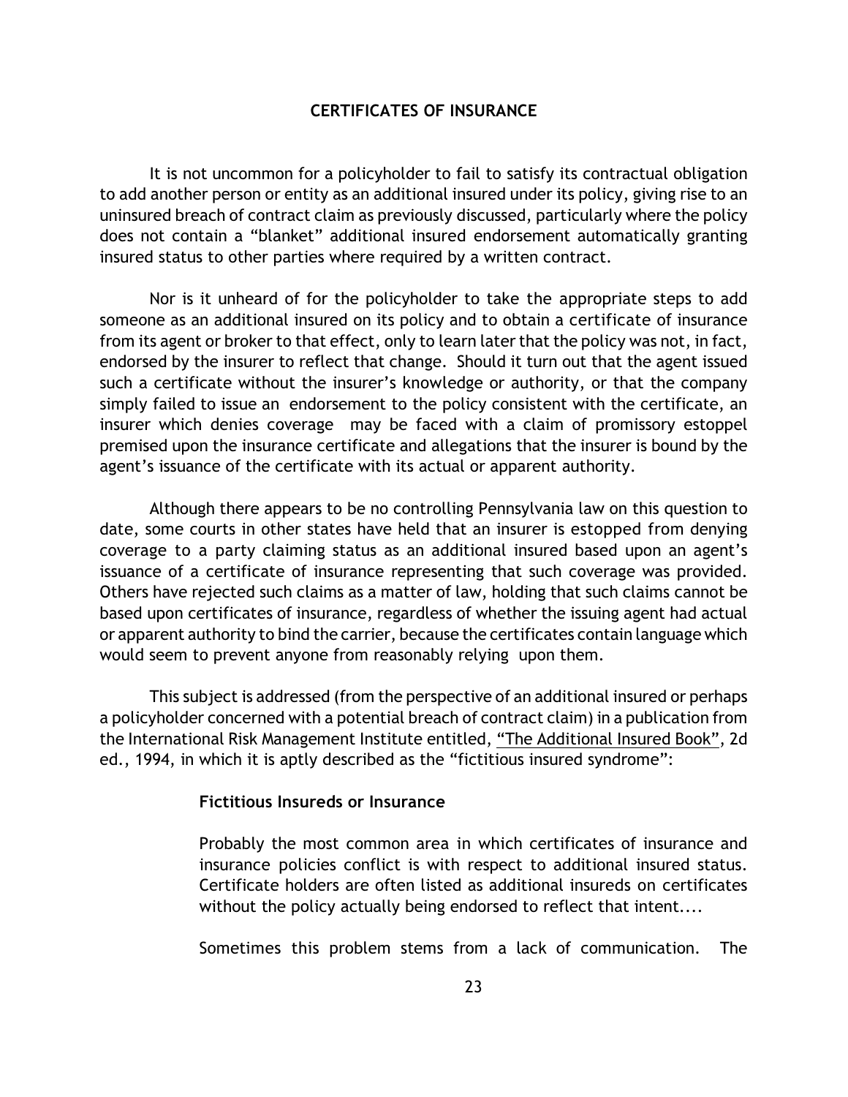## **CERTIFICATES OF INSURANCE**

It is not uncommon for a policyholder to fail to satisfy its contractual obligation to add another person or entity as an additional insured under its policy, giving rise to an uninsured breach of contract claim as previously discussed, particularly where the policy does not contain a "blanket" additional insured endorsement automatically granting insured status to other parties where required by a written contract.

Nor is it unheard of for the policyholder to take the appropriate steps to add someone as an additional insured on its policy and to obtain a certificate of insurance from its agent or broker to that effect, only to learn later that the policy was not, in fact, endorsed by the insurer to reflect that change. Should it turn out that the agent issued such a certificate without the insurer's knowledge or authority, or that the company simply failed to issue an endorsement to the policy consistent with the certificate, an insurer which denies coverage may be faced with a claim of promissory estoppel premised upon the insurance certificate and allegations that the insurer is bound by the agent's issuance of the certificate with its actual or apparent authority.

Although there appears to be no controlling Pennsylvania law on this question to date, some courts in other states have held that an insurer is estopped from denying coverage to a party claiming status as an additional insured based upon an agent's issuance of a certificate of insurance representing that such coverage was provided. Others have rejected such claims as a matter of law, holding that such claims cannot be based upon certificates of insurance, regardless of whether the issuing agent had actual or apparent authority to bind the carrier, because the certificates contain language which would seem to prevent anyone from reasonably relying upon them.

This subject is addressed (from the perspective of an additional insured or perhaps a policyholder concerned with a potential breach of contract claim) in a publication from the International Risk Management Institute entitled, "The Additional Insured Book", 2d ed., 1994, in which it is aptly described as the "fictitious insured syndrome":

## **Fictitious Insureds or Insurance**

Probably the most common area in which certificates of insurance and insurance policies conflict is with respect to additional insured status. Certificate holders are often listed as additional insureds on certificates without the policy actually being endorsed to reflect that intent....

Sometimes this problem stems from a lack of communication. The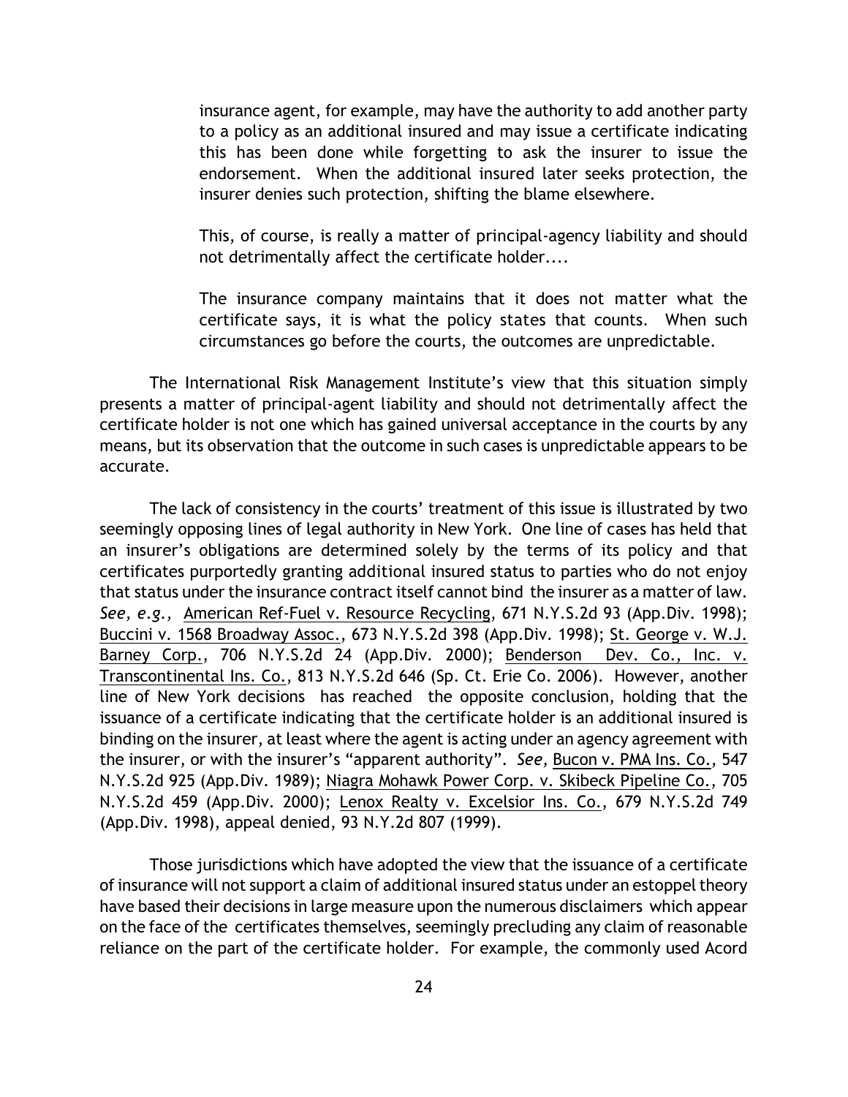insurance agent, for example, may have the authority to add another party to a policy as an additional insured and may issue a certificate indicating this has been done while forgetting to ask the insurer to issue the endorsement. When the additional insured later seeks protection, the insurer denies such protection, shifting the blame elsewhere.

This, of course, is really a matter of principal-agency liability and should not detrimentally affect the certificate holder....

The insurance company maintains that it does not matter what the certificate says, it is what the policy states that counts. When such circumstances go before the courts, the outcomes are unpredictable.

The International Risk Management Institute's view that this situation simply presents a matter of principal-agent liability and should not detrimentally affect the certificate holder is not one which has gained universal acceptance in the courts by any means, but its observation that the outcome in such cases is unpredictable appears to be accurate.

The lack of consistency in the courts' treatment of this issue is illustrated by two seemingly opposing lines of legal authority in New York. One line of cases has held that an insurer's obligations are determined solely by the terms of its policy and that certificates purportedly granting additional insured status to parties who do not enjoy that status under the insurance contract itself cannot bind the insurer as a matter of law. *See, e.g.,* American Ref-Fuel v. Resource Recycling, 671 N.Y.S.2d 93 (App.Div. 1998); Buccini v. 1568 Broadway Assoc., 673 N.Y.S.2d 398 (App.Div. 1998); St. George v. W.J. Barney Corp., 706 N.Y.S.2d 24 (App.Div. 2000); Benderson Dev. Co., Inc. v. Transcontinental Ins. Co., 813 N.Y.S.2d 646 (Sp. Ct. Erie Co. 2006). However, another line of New York decisions has reached the opposite conclusion, holding that the issuance of a certificate indicating that the certificate holder is an additional insured is binding on the insurer, at least where the agent is acting under an agency agreement with the insurer, or with the insurer's "apparent authority". *See,* Bucon v. PMA Ins. Co., 547 N.Y.S.2d 925 (App.Div. 1989); Niagra Mohawk Power Corp. v. Skibeck Pipeline Co., 705 N.Y.S.2d 459 (App.Div. 2000); Lenox Realty v. Excelsior Ins. Co., 679 N.Y.S.2d 749 (App.Div. 1998), appeal denied, 93 N.Y.2d 807 (1999).

Those jurisdictions which have adopted the view that the issuance of a certificate of insurance will not support a claim of additional insured status under an estoppel theory have based their decisions in large measure upon the numerous disclaimers which appear on the face of the certificates themselves, seemingly precluding any claim of reasonable reliance on the part of the certificate holder. For example, the commonly used Acord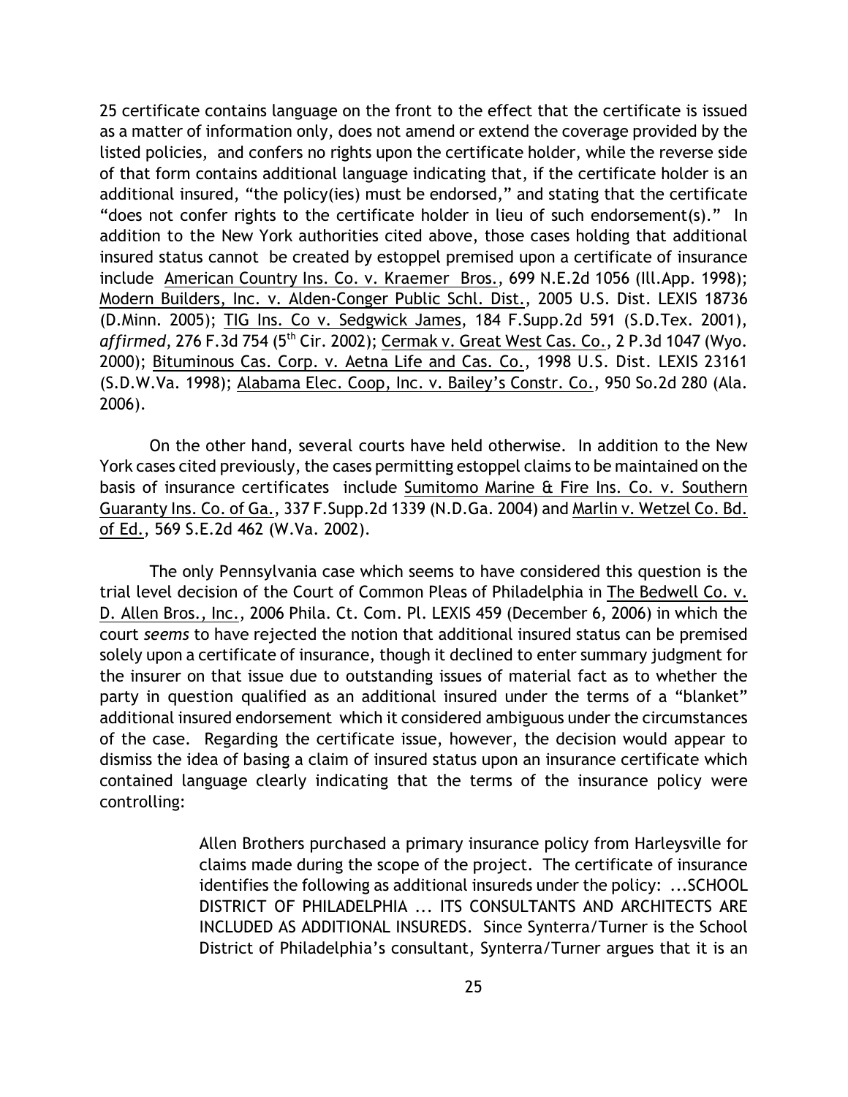25 certificate contains language on the front to the effect that the certificate is issued as a matter of information only, does not amend or extend the coverage provided by the listed policies, and confers no rights upon the certificate holder, while the reverse side of that form contains additional language indicating that, if the certificate holder is an additional insured, "the policy(ies) must be endorsed," and stating that the certificate "does not confer rights to the certificate holder in lieu of such endorsement(s)." In addition to the New York authorities cited above, those cases holding that additional insured status cannot be created by estoppel premised upon a certificate of insurance include American Country Ins. Co. v. Kraemer Bros., 699 N.E.2d 1056 (Ill.App. 1998); Modern Builders, Inc. v. Alden-Conger Public Schl. Dist., 2005 U.S. Dist. LEXIS 18736 (D.Minn. 2005); TIG Ins. Co v. Sedgwick James, 184 F.Supp.2d 591 (S.D.Tex. 2001), *affirmed*, 276 F.3d 754 (5<sup>th</sup> Cir. 2002); Cermak v. Great West Cas. Co., 2 P.3d 1047 (Wyo. 2000); Bituminous Cas. Corp. v. Aetna Life and Cas. Co., 1998 U.S. Dist. LEXIS 23161 (S.D.W.Va. 1998); Alabama Elec. Coop, Inc. v. Bailey's Constr. Co., 950 So.2d 280 (Ala. 2006).

On the other hand, several courts have held otherwise. In addition to the New York cases cited previously, the cases permitting estoppel claims to be maintained on the basis of insurance certificates include Sumitomo Marine & Fire Ins. Co. v. Southern Guaranty Ins. Co. of Ga., 337 F.Supp.2d 1339 (N.D.Ga. 2004) and Marlin v. Wetzel Co. Bd. of Ed., 569 S.E.2d 462 (W.Va. 2002).

The only Pennsylvania case which seems to have considered this question is the trial level decision of the Court of Common Pleas of Philadelphia in The Bedwell Co. v. D. Allen Bros., Inc., 2006 Phila. Ct. Com. Pl. LEXIS 459 (December 6, 2006) in which the court *seems* to have rejected the notion that additional insured status can be premised solely upon a certificate of insurance, though it declined to enter summary judgment for the insurer on that issue due to outstanding issues of material fact as to whether the party in question qualified as an additional insured under the terms of a "blanket" additional insured endorsement which it considered ambiguous under the circumstances of the case. Regarding the certificate issue, however, the decision would appear to dismiss the idea of basing a claim of insured status upon an insurance certificate which contained language clearly indicating that the terms of the insurance policy were controlling:

> Allen Brothers purchased a primary insurance policy from Harleysville for claims made during the scope of the project. The certificate of insurance identifies the following as additional insureds under the policy: ...SCHOOL DISTRICT OF PHILADELPHIA ... ITS CONSULTANTS AND ARCHITECTS ARE INCLUDED AS ADDITIONAL INSUREDS. Since Synterra/Turner is the School District of Philadelphia's consultant, Synterra/Turner argues that it is an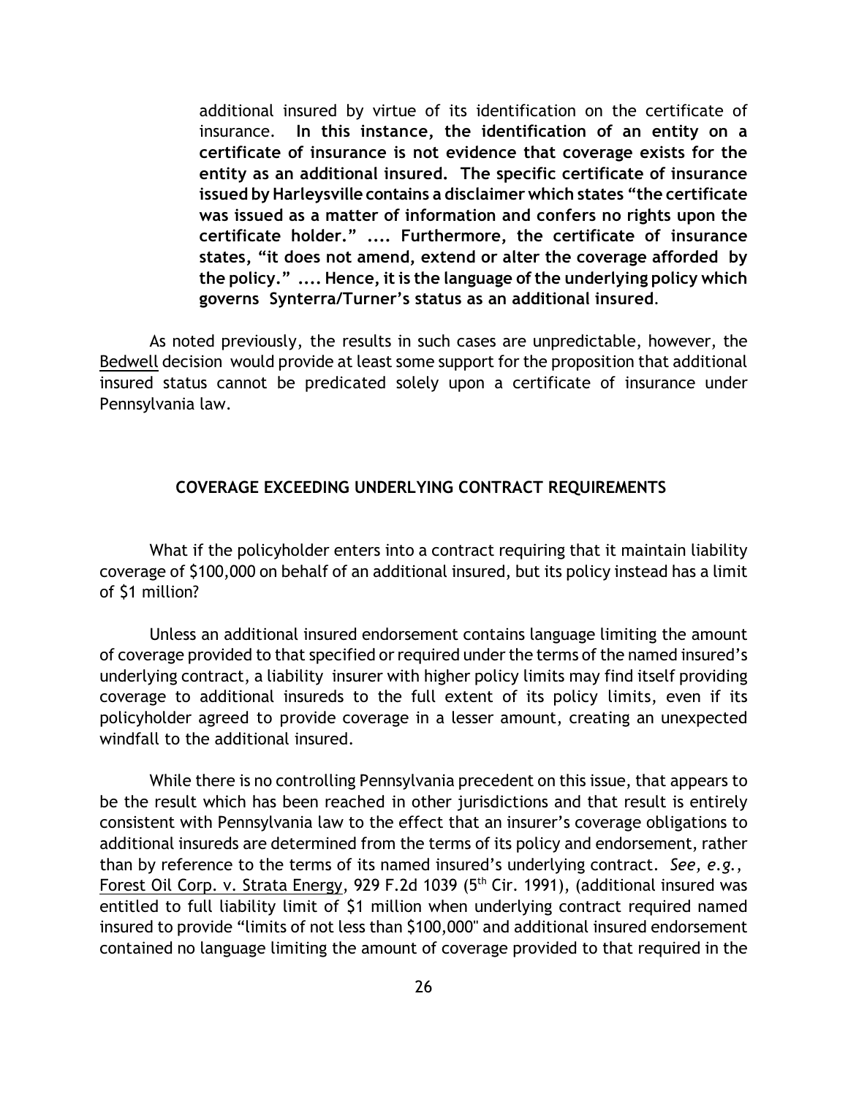additional insured by virtue of its identification on the certificate of insurance. **In this instance, the identification of an entity on a certificate of insurance is not evidence that coverage exists for the entity as an additional insured. The specific certificate of insurance issued by Harleysville contains a disclaimer which states "the certificate was issued as a matter of information and confers no rights upon the certificate holder." .... Furthermore, the certificate of insurance states, "it does not amend, extend or alter the coverage afforded by the policy." .... Hence, it is the language of the underlying policy which governs Synterra/Turner's status as an additional insured**.

As noted previously, the results in such cases are unpredictable, however, the Bedwell decision would provide at least some support for the proposition that additional insured status cannot be predicated solely upon a certificate of insurance under Pennsylvania law.

## **COVERAGE EXCEEDING UNDERLYING CONTRACT REQUIREMENTS**

What if the policyholder enters into a contract requiring that it maintain liability coverage of \$100,000 on behalf of an additional insured, but its policy instead has a limit of \$1 million?

Unless an additional insured endorsement contains language limiting the amount of coverage provided to that specified or required under the terms of the named insured's underlying contract, a liability insurer with higher policy limits may find itself providing coverage to additional insureds to the full extent of its policy limits, even if its policyholder agreed to provide coverage in a lesser amount, creating an unexpected windfall to the additional insured.

While there is no controlling Pennsylvania precedent on this issue, that appears to be the result which has been reached in other jurisdictions and that result is entirely consistent with Pennsylvania law to the effect that an insurer's coverage obligations to additional insureds are determined from the terms of its policy and endorsement, rather than by reference to the terms of its named insured's underlying contract. *See, e.g.*, Forest Oil Corp. v. Strata Energy, 929 F.2d 1039 ( $5<sup>th</sup>$  Cir. 1991), (additional insured was entitled to full liability limit of \$1 million when underlying contract required named insured to provide "limits of not less than \$100,000" and additional insured endorsement contained no language limiting the amount of coverage provided to that required in the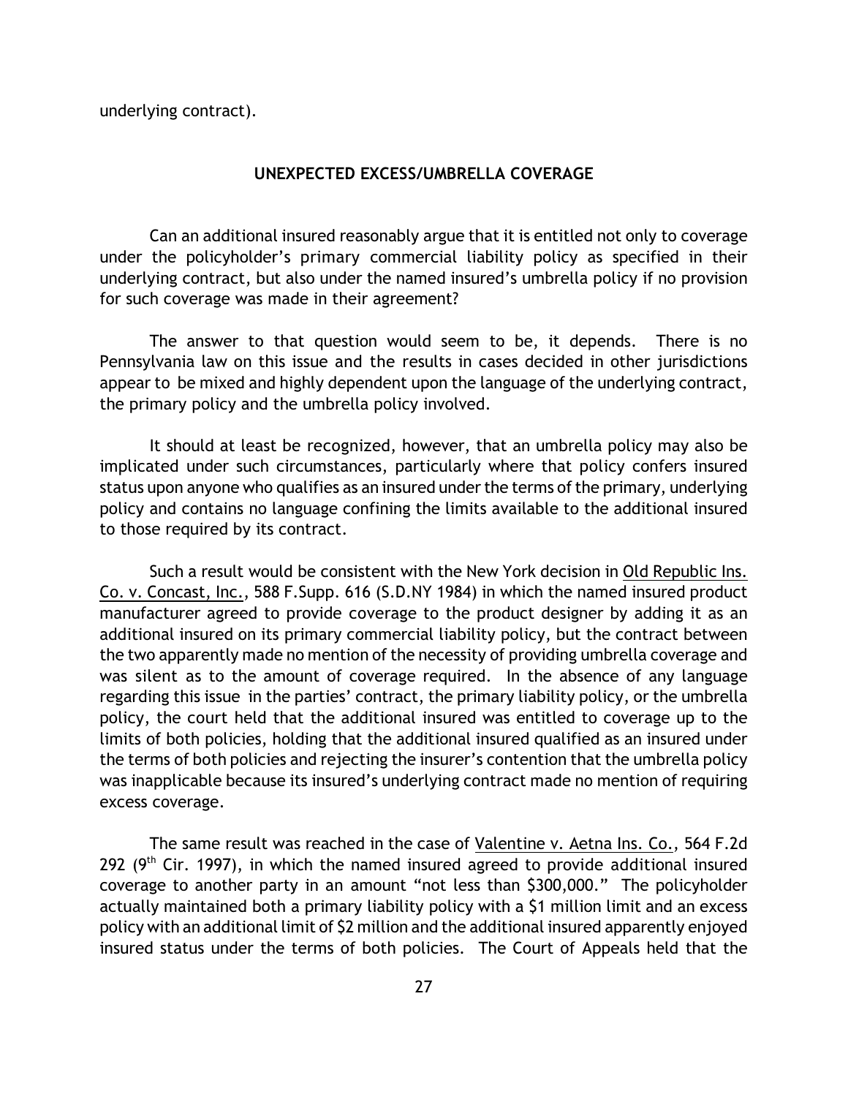underlying contract).

#### **UNEXPECTED EXCESS/UMBRELLA COVERAGE**

Can an additional insured reasonably argue that it is entitled not only to coverage under the policyholder's primary commercial liability policy as specified in their underlying contract, but also under the named insured's umbrella policy if no provision for such coverage was made in their agreement?

The answer to that question would seem to be, it depends. There is no Pennsylvania law on this issue and the results in cases decided in other jurisdictions appear to be mixed and highly dependent upon the language of the underlying contract, the primary policy and the umbrella policy involved.

It should at least be recognized, however, that an umbrella policy may also be implicated under such circumstances, particularly where that policy confers insured status upon anyone who qualifies as an insured under the terms of the primary, underlying policy and contains no language confining the limits available to the additional insured to those required by its contract.

Such a result would be consistent with the New York decision in Old Republic Ins. Co. v. Concast, Inc., 588 F.Supp. 616 (S.D.NY 1984) in which the named insured product manufacturer agreed to provide coverage to the product designer by adding it as an additional insured on its primary commercial liability policy, but the contract between the two apparently made no mention of the necessity of providing umbrella coverage and was silent as to the amount of coverage required. In the absence of any language regarding this issue in the parties' contract, the primary liability policy, or the umbrella policy, the court held that the additional insured was entitled to coverage up to the limits of both policies, holding that the additional insured qualified as an insured under the terms of both policies and rejecting the insurer's contention that the umbrella policy was inapplicable because its insured's underlying contract made no mention of requiring excess coverage.

The same result was reached in the case of Valentine v. Aetna Ins. Co., 564 F.2d 292 ( $9<sup>th</sup>$  Cir. 1997), in which the named insured agreed to provide additional insured coverage to another party in an amount "not less than \$300,000." The policyholder actually maintained both a primary liability policy with a \$1 million limit and an excess policy with an additional limit of \$2 million and the additional insured apparently enjoyed insured status under the terms of both policies. The Court of Appeals held that the